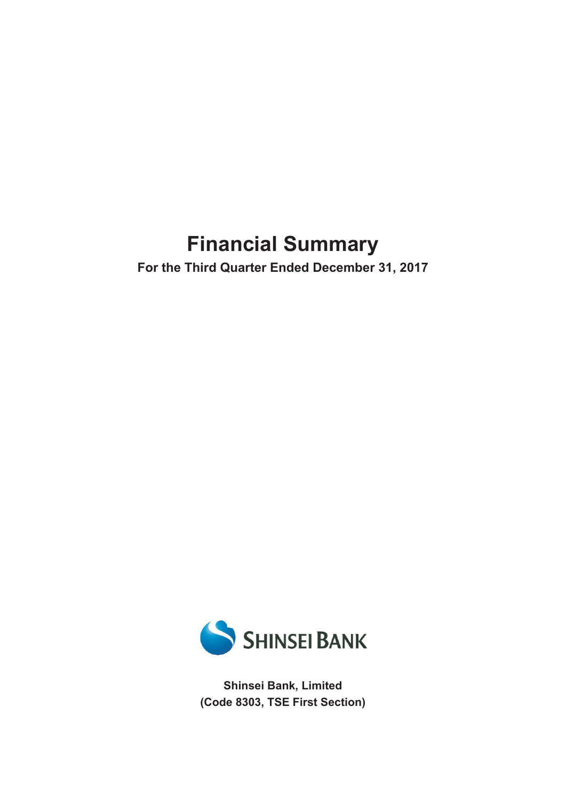# **Financial Summary**

**For the Third Quarter Ended December 31, 2017**



**Shinsei Bank, Limited (Code 8303, TSE First Section)**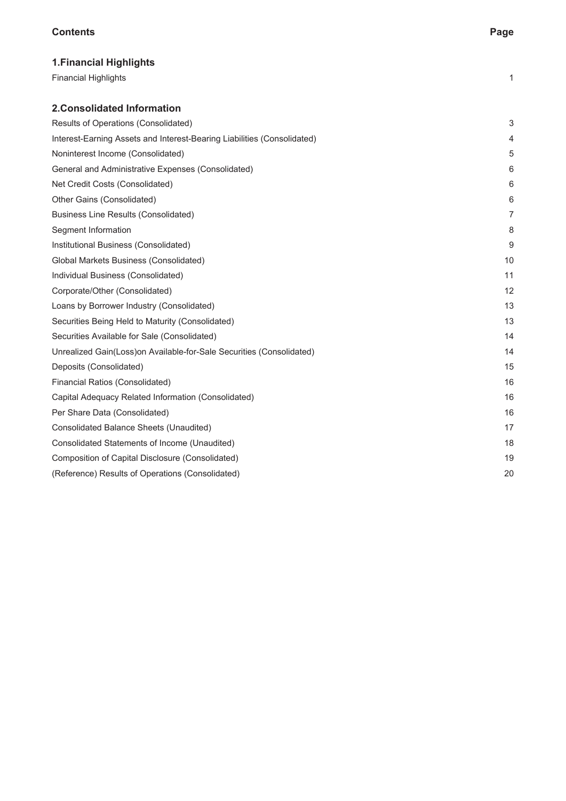#### **Contents Page**

| <b>1. Financial Highlights</b>                                          |                |
|-------------------------------------------------------------------------|----------------|
| <b>Financial Highlights</b>                                             | 1              |
| <b>2. Consolidated Information</b>                                      |                |
| Results of Operations (Consolidated)                                    | 3              |
| Interest-Earning Assets and Interest-Bearing Liabilities (Consolidated) | 4              |
| Noninterest Income (Consolidated)                                       | 5              |
| General and Administrative Expenses (Consolidated)                      | 6              |
| Net Credit Costs (Consolidated)                                         | 6              |
| Other Gains (Consolidated)                                              | 6              |
| <b>Business Line Results (Consolidated)</b>                             | $\overline{7}$ |
| Segment Information                                                     | 8              |
| Institutional Business (Consolidated)                                   | 9              |
| Global Markets Business (Consolidated)                                  | 10             |
| Individual Business (Consolidated)                                      | 11             |
| Corporate/Other (Consolidated)                                          | 12             |
| Loans by Borrower Industry (Consolidated)                               | 13             |
| Securities Being Held to Maturity (Consolidated)                        | 13             |
| Securities Available for Sale (Consolidated)                            | 14             |
| Unrealized Gain(Loss)on Available-for-Sale Securities (Consolidated)    | 14             |
| Deposits (Consolidated)                                                 | 15             |
| Financial Ratios (Consolidated)                                         | 16             |
| Capital Adequacy Related Information (Consolidated)                     | 16             |
| Per Share Data (Consolidated)                                           | 16             |
| Consolidated Balance Sheets (Unaudited)                                 | 17             |
| Consolidated Statements of Income (Unaudited)                           | 18             |
| Composition of Capital Disclosure (Consolidated)                        | 19             |
| (Reference) Results of Operations (Consolidated)                        | 20             |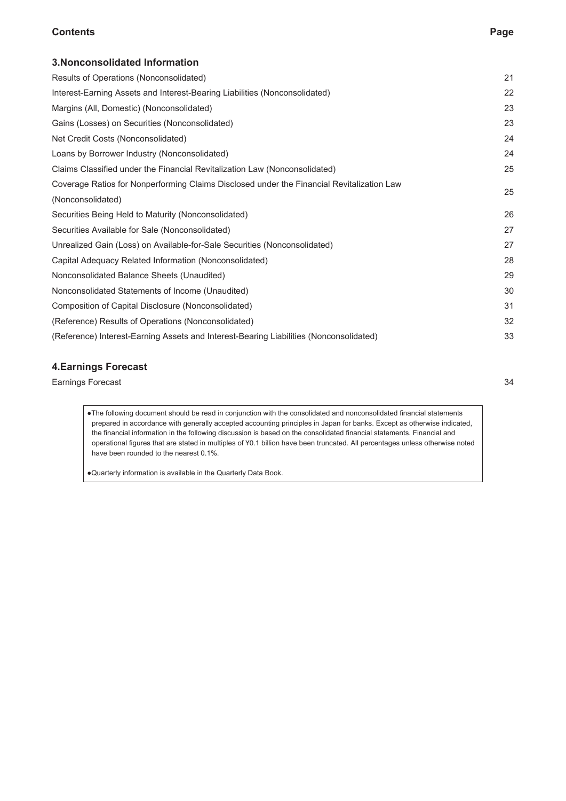#### **Contents Page**

| 3. Nonconsolidated Information                                                            |    |
|-------------------------------------------------------------------------------------------|----|
| Results of Operations (Nonconsolidated)                                                   | 21 |
| Interest-Earning Assets and Interest-Bearing Liabilities (Nonconsolidated)                | 22 |
| Margins (All, Domestic) (Nonconsolidated)                                                 | 23 |
| Gains (Losses) on Securities (Nonconsolidated)                                            | 23 |
| Net Credit Costs (Nonconsolidated)                                                        | 24 |
| Loans by Borrower Industry (Nonconsolidated)                                              | 24 |
| Claims Classified under the Financial Revitalization Law (Nonconsolidated)                | 25 |
| Coverage Ratios for Nonperforming Claims Disclosed under the Financial Revitalization Law | 25 |
| (Nonconsolidated)                                                                         |    |
| Securities Being Held to Maturity (Nonconsolidated)                                       | 26 |
| Securities Available for Sale (Nonconsolidated)                                           | 27 |
| Unrealized Gain (Loss) on Available-for-Sale Securities (Nonconsolidated)                 | 27 |
| Capital Adequacy Related Information (Nonconsolidated)                                    | 28 |
| Nonconsolidated Balance Sheets (Unaudited)                                                | 29 |
| Nonconsolidated Statements of Income (Unaudited)                                          | 30 |
| Composition of Capital Disclosure (Nonconsolidated)                                       | 31 |
| (Reference) Results of Operations (Nonconsolidated)                                       | 32 |
| (Reference) Interest-Earning Assets and Interest-Bearing Liabilities (Nonconsolidated)    | 33 |

#### **4.Earnings Forecast**

Earnings Forecast 34

●The following document should be read in conjunction with the consolidated and nonconsolidated financial statements prepared in accordance with generally accepted accounting principles in Japan for banks. Except as otherwise indicated, the financial information in the following discussion is based on the consolidated financial statements. Financial and operational figures that are stated in multiples of ¥0.1 billion have been truncated. All percentages unless otherwise noted have been rounded to the nearest 0.1%.

●Quarterly information is available in the Quarterly Data Book.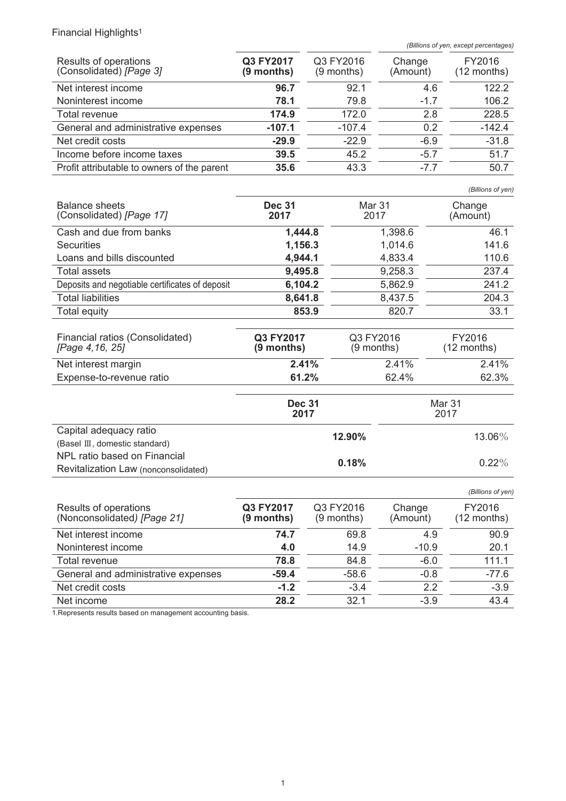# Financial Highlights<sup>1</sup>

*(Billions of yen, except percentages)*

| Results of operations<br>(Consolidated) [Page 3] | Q3 FY2017<br>(9 months) | Q3 FY2016<br>(9 months) | Change<br>(Amount) | FY2016<br>$(12$ months) |
|--------------------------------------------------|-------------------------|-------------------------|--------------------|-------------------------|
| Net interest income                              | 96.7                    | 92.1                    | 4.6                | 122.2                   |
| Noninterest income                               | 78.1                    | 79.8                    | $-1.7$             | 106.2                   |
| Total revenue                                    | 174.9                   | 172.0                   | 2.8                | 228.5                   |
| General and administrative expenses              | $-107.1$                | $-107.4$                | 0.2                | $-142.4$                |
| Net credit costs                                 | $-29.9$                 | $-22.9$                 | $-6.9$             | $-31.8$                 |
| Income before income taxes                       | 39.5                    | 45.2                    | $-5.7$             | 51.7                    |
| Profit attributable to owners of the parent      | 35.6                    | 43.3                    | $-77$              | 50.7                    |

*(Billions of yen)*

| <b>Balance sheets</b><br>(Consolidated) [Page 17] | <b>Dec 31</b><br>2017 | Mar 31<br>2017 | Change<br>(Amount) |
|---------------------------------------------------|-----------------------|----------------|--------------------|
| Cash and due from banks                           | 1,444.8               | 1,398.6        | 46.1               |
| <b>Securities</b>                                 | 1,156.3               | 1,014.6        | 141.6              |
| Loans and bills discounted                        | 4,944.1               | 4,833.4        | 110.6              |
| Total assets                                      | 9,495.8               | 9,258.3        | 237.4              |
| Deposits and negotiable certificates of deposit   | 6,104.2               | 5,862.9        | 241.2              |
| <b>Total liabilities</b>                          | 8,641.8               | 8,437.5        | 204.3              |
| Total equity                                      | 853.9                 | 820.7          | 33.1               |

| Financial ratios (Consolidated)<br>[Page 4,16, 25] | Q3 FY2017<br>$(9$ months) | Q3 FY2016<br>$(9$ months) | FY2016<br>$(12$ months) |
|----------------------------------------------------|---------------------------|---------------------------|-------------------------|
| Net interest margin                                | 2.41%                     | 2.41%                     | 2.41%                   |
| Expense-to-revenue ratio                           | 61.2%                     | 62.4%                     | 62.3%                   |

|                                                                      | <b>Dec 31</b><br>2017 | Mar 31<br>2017 |  |
|----------------------------------------------------------------------|-----------------------|----------------|--|
| Capital adequacy ratio<br>(Basel III, domestic standard)             | 12.90%                | 13.06%         |  |
| NPL ratio based on Financial<br>Revitalization Law (nonconsolidated) | 0.18%                 | $0.22\%$       |  |

|                                                      |                         |                           |                    | (Billions of yen)     |
|------------------------------------------------------|-------------------------|---------------------------|--------------------|-----------------------|
| Results of operations<br>(Nonconsolidated) [Page 21] | Q3 FY2017<br>(9 months) | Q3 FY2016<br>$(9$ months) | Change<br>(Amount) | FY2016<br>(12 months) |
| Net interest income                                  | 74.7                    | 69.8                      | 4.9                | 90.9                  |
| Noninterest income                                   | 4.0                     | 14.9                      | $-10.9$            | 20.1                  |
| Total revenue                                        | 78.8                    | 84.8                      | $-6.0$             | 111.1                 |
| General and administrative expenses                  | $-59.4$                 | $-58.6$                   | $-0.8$             | $-77.6$               |
| Net credit costs                                     | $-1.2$                  | $-3.4$                    | 2.2                | $-3.9$                |
| Net income                                           | 28.2                    | 321                       | $-3.9$             | 43.4                  |

1.Represents results based on management accounting basis.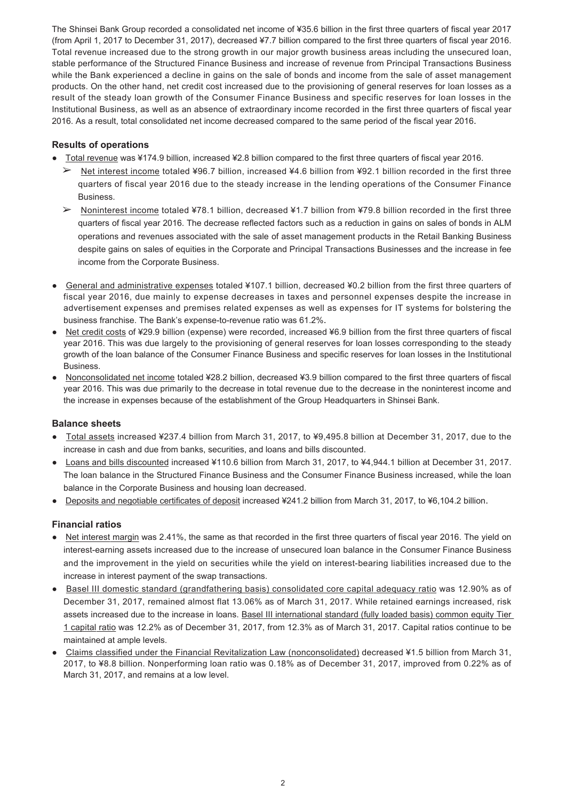The Shinsei Bank Group recorded a consolidated net income of ¥35.6 billion in the first three quarters of fiscal year 2017 (from April 1, 2017 to December 31, 2017), decreased ¥7.7 billion compared to the first three quarters of fiscal year 2016. Total revenue increased due to the strong growth in our major growth business areas including the unsecured loan, stable performance of the Structured Finance Business and increase of revenue from Principal Transactions Business while the Bank experienced a decline in gains on the sale of bonds and income from the sale of asset management products. On the other hand, net credit cost increased due to the provisioning of general reserves for loan losses as a result of the steady loan growth of the Consumer Finance Business and specific reserves for loan losses in the Institutional Business, as well as an absence of extraordinary income recorded in the first three quarters of fiscal year 2016. As a result, total consolidated net income decreased compared to the same period of the fiscal year 2016.

#### **Results of operations**

- Total revenue was ¥174.9 billion, increased ¥2.8 billion compared to the first three quarters of fiscal year 2016.
	- ➢ Net interest income totaled ¥96.7 billion, increased ¥4.6 billion from ¥92.1 billion recorded in the first three quarters of fiscal year 2016 due to the steady increase in the lending operations of the Consumer Finance Business.
	- ➢ Noninterest income totaled ¥78.1 billion, decreased ¥1.7 billion from ¥79.8 billion recorded in the first three quarters of fiscal year 2016. The decrease reflected factors such as a reduction in gains on sales of bonds in ALM operations and revenues associated with the sale of asset management products in the Retail Banking Business despite gains on sales of equities in the Corporate and Principal Transactions Businesses and the increase in fee income from the Corporate Business.
- General and administrative expenses totaled ¥107.1 billion, decreased ¥0.2 billion from the first three quarters of fiscal year 2016, due mainly to expense decreases in taxes and personnel expenses despite the increase in advertisement expenses and premises related expenses as well as expenses for IT systems for bolstering the business franchise. The Bank's expense-to-revenue ratio was 61.2%.
- Net credit costs of ¥29.9 billion (expense) were recorded, increased ¥6.9 billion from the first three quarters of fiscal year 2016. This was due largely to the provisioning of general reserves for loan losses corresponding to the steady growth of the loan balance of the Consumer Finance Business and specific reserves for loan losses in the Institutional Business.
- Nonconsolidated net income totaled ¥28.2 billion, decreased ¥3.9 billion compared to the first three quarters of fiscal year 2016. This was due primarily to the decrease in total revenue due to the decrease in the noninterest income and the increase in expenses because of the establishment of the Group Headquarters in Shinsei Bank.

#### **Balance sheets**

- Total assets increased ¥237.4 billion from March 31, 2017, to ¥9,495.8 billion at December 31, 2017, due to the increase in cash and due from banks, securities, and loans and bills discounted.
- Loans and bills discounted increased ¥110.6 billion from March 31, 2017, to ¥4,944.1 billion at December 31, 2017. The loan balance in the Structured Finance Business and the Consumer Finance Business increased, while the loan balance in the Corporate Business and housing loan decreased.
- Deposits and negotiable certificates of deposit increased ¥241.2 billion from March 31, 2017, to ¥6,104.2 billion.

#### **Financial ratios**

- Net interest margin was 2.41%, the same as that recorded in the first three quarters of fiscal year 2016. The yield on interest-earning assets increased due to the increase of unsecured loan balance in the Consumer Finance Business and the improvement in the yield on securities while the yield on interest-bearing liabilities increased due to the increase in interest payment of the swap transactions.
- Basel III domestic standard (grandfathering basis) consolidated core capital adequacy ratio was 12.90% as of December 31, 2017, remained almost flat 13.06% as of March 31, 2017. While retained earnings increased, risk assets increased due to the increase in loans. Basel III international standard (fully loaded basis) common equity Tier 1 capital ratio was 12.2% as of December 31, 2017, from 12.3% as of March 31, 2017. Capital ratios continue to be maintained at ample levels.
- Claims classified under the Financial Revitalization Law (nonconsolidated) decreased ¥1.5 billion from March 31, 2017, to ¥8.8 billion. Nonperforming loan ratio was 0.18% as of December 31, 2017, improved from 0.22% as of March 31, 2017, and remains at a low level.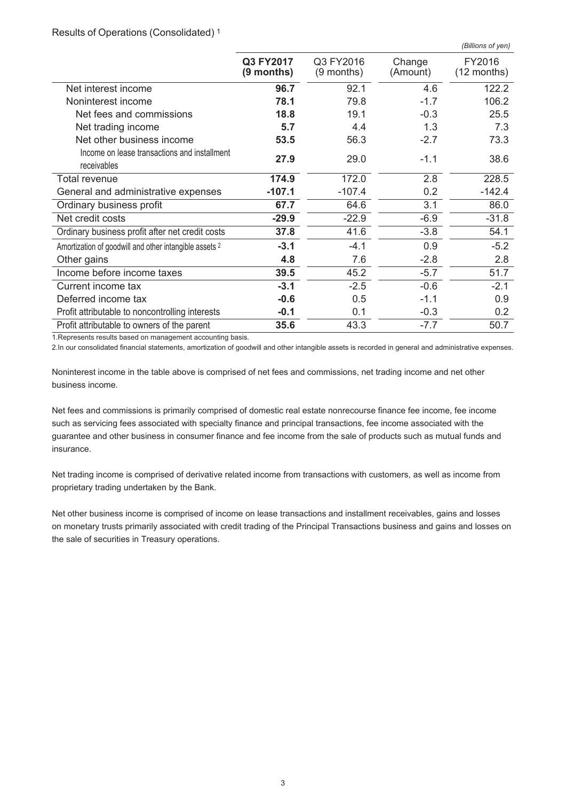|  | Results of Operations (Consolidated) <sup>1</sup> |  |
|--|---------------------------------------------------|--|
|  |                                                   |  |

|                                                                   |                         |                         |                    | (Billions of yen)       |
|-------------------------------------------------------------------|-------------------------|-------------------------|--------------------|-------------------------|
|                                                                   | Q3 FY2017<br>(9 months) | Q3 FY2016<br>(9 months) | Change<br>(Amount) | FY2016<br>$(12$ months) |
| Net interest income                                               | 96.7                    | 92.1                    | 4.6                | 122.2                   |
| Noninterest income                                                | 78.1                    | 79.8                    | $-1.7$             | 106.2                   |
| Net fees and commissions                                          | 18.8                    | 19.1                    | $-0.3$             | 25.5                    |
| Net trading income                                                | 5.7                     | 4.4                     | 1.3                | 7.3                     |
| Net other business income                                         | 53.5                    | 56.3                    | $-2.7$             | 73.3                    |
| Income on lease transactions and installment<br>receivables       | 27.9                    | 29.0                    | $-1.1$             | 38.6                    |
| Total revenue                                                     | 174.9                   | 172.0                   | 2.8                | 228.5                   |
| General and administrative expenses                               | $-107.1$                | $-107.4$                | 0.2                | $-142.4$                |
| Ordinary business profit                                          | 67.7                    | 64.6                    | 3.1                | 86.0                    |
| Net credit costs                                                  | $-29.9$                 | $-22.9$                 | $-6.9$             | $-31.8$                 |
| Ordinary business profit after net credit costs                   | 37.8                    | 41.6                    | $-3.8$             | 54.1                    |
| Amortization of goodwill and other intangible assets <sup>2</sup> | $-3.1$                  | $-4.1$                  | 0.9                | $-5.2$                  |
| Other gains                                                       | 4.8                     | 7.6                     | $-2.8$             | 2.8                     |
| Income before income taxes                                        | 39.5                    | 45.2                    | $-5.7$             | 51.7                    |
| Current income tax                                                | $-3.1$                  | $-2.5$                  | $-0.6$             | $-2.1$                  |
| Deferred income tax                                               | $-0.6$                  | 0.5                     | $-1.1$             | 0.9                     |
| Profit attributable to noncontrolling interests                   | $-0.1$                  | 0.1                     | $-0.3$             | 0.2                     |
| Profit attributable to owners of the parent                       | 35.6                    | 43.3                    | $-7.7$             | 50.7                    |

1.Represents results based on management accounting basis.

2.In our consolidated financial statements, amortization of goodwill and other intangible assets is recorded in general and administrative expenses.

Noninterest income in the table above is comprised of net fees and commissions, net trading income and net other business income.

Net fees and commissions is primarily comprised of domestic real estate nonrecourse finance fee income, fee income such as servicing fees associated with specialty finance and principal transactions, fee income associated with the guarantee and other business in consumer finance and fee income from the sale of products such as mutual funds and insurance.

Net trading income is comprised of derivative related income from transactions with customers, as well as income from proprietary trading undertaken by the Bank.

Net other business income is comprised of income on lease transactions and installment receivables, gains and losses on monetary trusts primarily associated with credit trading of the Principal Transactions business and gains and losses on the sale of securities in Treasury operations.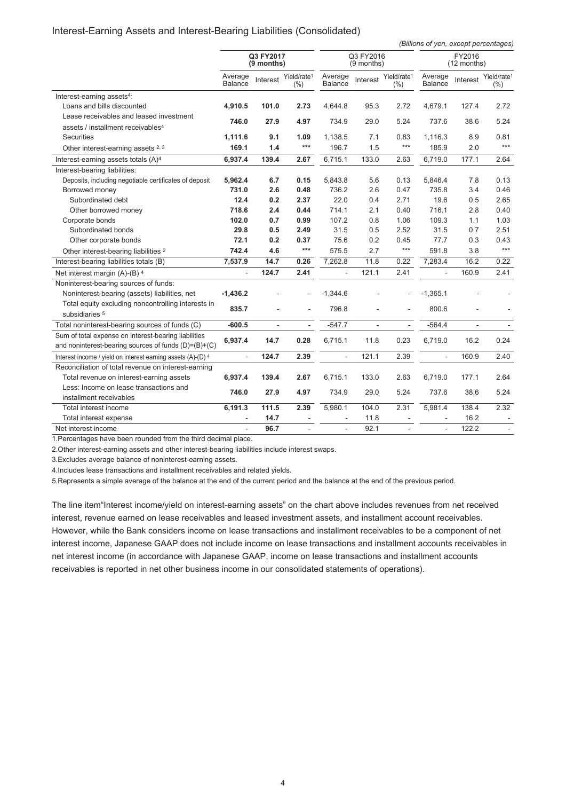#### Interest-Earning Assets and Interest-Bearing Liabilities (Consolidated)

*(Billions of yen, except percentages)*

|                                                              |                           | Q3 FY2017<br>$(9$ months) |                                | Q3 FY2016<br>$(9$ months) |          |                                    | FY2016<br>$(12$ months) |          |                                    |
|--------------------------------------------------------------|---------------------------|---------------------------|--------------------------------|---------------------------|----------|------------------------------------|-------------------------|----------|------------------------------------|
|                                                              | Average<br><b>Balance</b> | Interest                  | Yield/rate <sup>1</sup><br>(%) | Average<br><b>Balance</b> | Interest | Yield/rate <sup>1</sup><br>$(\% )$ | Average<br>Balance      | Interest | Yield/rate <sup>1</sup><br>$(\% )$ |
| Interest-earning assets <sup>4</sup> :                       |                           |                           |                                |                           |          |                                    |                         |          |                                    |
| Loans and bills discounted                                   | 4,910.5                   | 101.0                     | 2.73                           | 4,644.8                   | 95.3     | 2.72                               | 4,679.1                 | 127.4    | 2.72                               |
| Lease receivables and leased investment                      |                           |                           |                                |                           |          |                                    |                         |          |                                    |
| assets / installment receivables <sup>4</sup>                | 746.0                     | 27.9                      | 4.97                           | 734.9                     | 29.0     | 5.24                               | 737.6                   | 38.6     | 5.24                               |
| Securities                                                   | 1,111.6                   | 9.1                       | 1.09                           | 1,138.5                   | 7.1      | 0.83                               | 1,116.3                 | 8.9      | 0.81                               |
| Other interest-earning assets 2, 3                           | 169.1                     | 1.4                       | $***$                          | 196.7                     | 1.5      | $***$                              | 185.9                   | 2.0      | ***                                |
| Interest-earning assets totals (A) <sup>4</sup>              | 6,937.4                   | 139.4                     | 2.67                           | 6,715.1                   | 133.0    | 2.63                               | 6,719.0                 | 177.1    | 2.64                               |
| Interest-bearing liabilities:                                |                           |                           |                                |                           |          |                                    |                         |          |                                    |
| Deposits, including negotiable certificates of deposit       | 5,962.4                   | 6.7                       | 0.15                           | 5,843.8                   | 5.6      | 0.13                               | 5,846.4                 | 7.8      | 0.13                               |
| Borrowed money                                               | 731.0                     | 2.6                       | 0.48                           | 736.2                     | 2.6      | 0.47                               | 735.8                   | 3.4      | 0.46                               |
| Subordinated debt                                            | 12.4                      | 0.2                       | 2.37                           | 22.0                      | 0.4      | 2.71                               | 19.6                    | 0.5      | 2.65                               |
| Other borrowed money                                         | 718.6                     | 2.4                       | 0.44                           | 714.1                     | 2.1      | 0.40                               | 716.1                   | 2.8      | 0.40                               |
| Corporate bonds                                              | 102.0                     | 0.7                       | 0.99                           | 107.2                     | 0.8      | 1.06                               | 109.3                   | 1.1      | 1.03                               |
| Subordinated bonds                                           | 29.8                      | 0.5                       | 2.49                           | 31.5                      | 0.5      | 2.52                               | 31.5                    | 0.7      | 2.51                               |
| Other corporate bonds                                        | 72.1                      | 0.2                       | 0.37                           | 75.6                      | 0.2      | 0.45                               | 77.7                    | 0.3      | 0.43                               |
| Other interest-bearing liabilities 2                         | 742.4                     | 4.6                       | $***$                          | 575.5                     | 2.7      | $***$                              | 591.8                   | 3.8      | $***$                              |
| Interest-bearing liabilities totals (B)                      | 7,537.9                   | 14.7                      | 0.26                           | 7,262.8                   | 11.8     | 0.22                               | 7,283.4                 | 16.2     | 0.22                               |
| Net interest margin (A)-(B) 4                                | L.                        | 124.7                     | 2.41                           | $\overline{\phantom{a}}$  | 121.1    | 2.41                               |                         | 160.9    | 2.41                               |
| Noninterest-bearing sources of funds:                        |                           |                           |                                |                           |          |                                    |                         |          |                                    |
| Noninterest-bearing (assets) liabilities, net                | $-1,436.2$                |                           |                                | $-1,344.6$                |          |                                    | $-1,365.1$              |          |                                    |
| Total equity excluding noncontrolling interests in           | 835.7                     |                           |                                | 796.8                     |          |                                    | 800.6                   |          |                                    |
| subsidiaries 5                                               |                           |                           |                                |                           |          |                                    |                         |          |                                    |
| Total noninterest-bearing sources of funds (C)               | $-600.5$                  | L.                        | $\sim$                         | $-547.7$                  |          |                                    | $-564.4$                |          |                                    |
| Sum of total expense on interest-bearing liabilities         | 6,937.4                   | 14.7                      | 0.28                           | 6,715.1                   | 11.8     | 0.23                               | 6,719.0                 | 16.2     | 0.24                               |
| and noninterest-bearing sources of funds $(D)= (B)+(C)$      |                           |                           |                                |                           |          |                                    |                         |          |                                    |
| Interest income / yield on interest earning assets (A)-(D) 4 |                           | 124.7                     | 2.39                           |                           | 121.1    | 2.39                               |                         | 160.9    | 2.40                               |
| Reconciliation of total revenue on interest-earning          |                           |                           |                                |                           |          |                                    |                         |          |                                    |
| Total revenue on interest-earning assets                     | 6,937.4                   | 139.4                     | 2.67                           | 6,715.1                   | 133.0    | 2.63                               | 6,719.0                 | 177.1    | 2.64                               |
| Less: Income on lease transactions and                       | 746.0                     | 27.9                      | 4.97                           | 734.9                     | 29.0     | 5.24                               | 737.6                   | 38.6     | 5.24                               |
| installment receivables                                      |                           |                           |                                |                           |          |                                    |                         |          |                                    |
| Total interest income                                        | 6,191.3                   | 111.5                     | 2.39                           | 5,980.1                   | 104.0    | 2.31                               | 5,981.4                 | 138.4    | 2.32                               |
| Total interest expense                                       |                           | 14.7                      |                                |                           | 11.8     |                                    |                         | 16.2     |                                    |
| Net interest income                                          |                           | 96.7                      |                                | L.                        | 92.1     |                                    |                         | 122.2    |                                    |

1.Percentages have been rounded from the third decimal place.

2.Other interest-earning assets and other interest-bearing liabilities include interest swaps.

3.Excludes average balance of noninterest-earning assets.

4.Includes lease transactions and installment receivables and related yields.

5.Represents a simple average of the balance at the end of the current period and the balance at the end of the previous period.

The line item"Interest income/yield on interest-earning assets" on the chart above includes revenues from net received interest, revenue earned on lease receivables and leased investment assets, and installment account receivables. However, while the Bank considers income on lease transactions and installment receivables to be a component of net interest income, Japanese GAAP does not include income on lease transactions and installment accounts receivables in net interest income (in accordance with Japanese GAAP, income on lease transactions and installment accounts receivables is reported in net other business income in our consolidated statements of operations).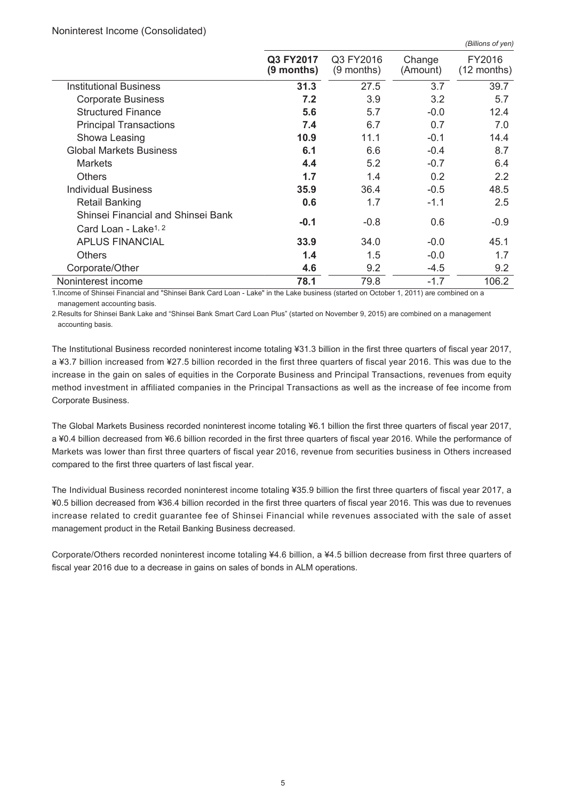#### Noninterest Income (Consolidated)

|                                                                        |                           |                         |                    | (Billions of yen)       |
|------------------------------------------------------------------------|---------------------------|-------------------------|--------------------|-------------------------|
|                                                                        | Q3 FY2017<br>$(9$ months) | Q3 FY2016<br>(9 months) | Change<br>(Amount) | FY2016<br>$(12$ months) |
| <b>Institutional Business</b>                                          | 31.3                      | 27.5                    | 3.7                | 39.7                    |
| <b>Corporate Business</b>                                              | 7.2                       | 3.9                     | 3.2                | 5.7                     |
| <b>Structured Finance</b>                                              | 5.6                       | 5.7                     | $-0.0$             | 12.4                    |
| <b>Principal Transactions</b>                                          | 7.4                       | 6.7                     | 0.7                | 7.0                     |
| Showa Leasing                                                          | 10.9                      | 11.1                    | $-0.1$             | 14.4                    |
| <b>Global Markets Business</b>                                         | 6.1                       | 6.6                     | $-0.4$             | 8.7                     |
| <b>Markets</b>                                                         | 4.4                       | 5.2                     | $-0.7$             | 6.4                     |
| <b>Others</b>                                                          | 1.7                       | 1.4                     | 0.2                | 2.2                     |
| <b>Individual Business</b>                                             | 35.9                      | 36.4                    | $-0.5$             | 48.5                    |
| <b>Retail Banking</b>                                                  | 0.6                       | 1.7                     | $-1.1$             | 2.5                     |
| Shinsei Financial and Shinsei Bank<br>Card Loan - Lake <sup>1, 2</sup> | $-0.1$                    | $-0.8$                  | 0.6                | $-0.9$                  |
| <b>APLUS FINANCIAL</b>                                                 | 33.9                      | 34.0                    | $-0.0$             | 45.1                    |
| <b>Others</b>                                                          | 1.4                       | 1.5                     | $-0.0$             | 1.7                     |
| Corporate/Other                                                        | 4.6                       | 9.2                     | $-4.5$             | 9.2                     |
| Noninterest income                                                     | 78.1                      | 79.8                    | $-1.7$             | 106.2                   |

1.Income of Shinsei Financial and "Shinsei Bank Card Loan - Lake" in the Lake business (started on October 1, 2011) are combined on a management accounting basis.

2.Results for Shinsei Bank Lake and "Shinsei Bank Smart Card Loan Plus" (started on November 9, 2015) are combined on a management accounting basis.

The Institutional Business recorded noninterest income totaling ¥31.3 billion in the first three quarters of fiscal year 2017, a ¥3.7 billion increased from ¥27.5 billion recorded in the first three quarters of fiscal year 2016. This was due to the increase in the gain on sales of equities in the Corporate Business and Principal Transactions, revenues from equity method investment in affiliated companies in the Principal Transactions as well as the increase of fee income from Corporate Business.

The Global Markets Business recorded noninterest income totaling ¥6.1 billion the first three quarters of fiscal year 2017, a ¥0.4 billion decreased from ¥6.6 billion recorded in the first three quarters of fiscal year 2016. While the performance of Markets was lower than first three quarters of fiscal year 2016, revenue from securities business in Others increased compared to the first three quarters of last fiscal year.

The Individual Business recorded noninterest income totaling ¥35.9 billion the first three quarters of fiscal year 2017, a ¥0.5 billion decreased from ¥36.4 billion recorded in the first three quarters of fiscal year 2016. This was due to revenues increase related to credit guarantee fee of Shinsei Financial while revenues associated with the sale of asset management product in the Retail Banking Business decreased.

Corporate/Others recorded noninterest income totaling ¥4.6 billion, a ¥4.5 billion decrease from first three quarters of fiscal year 2016 due to a decrease in gains on sales of bonds in ALM operations.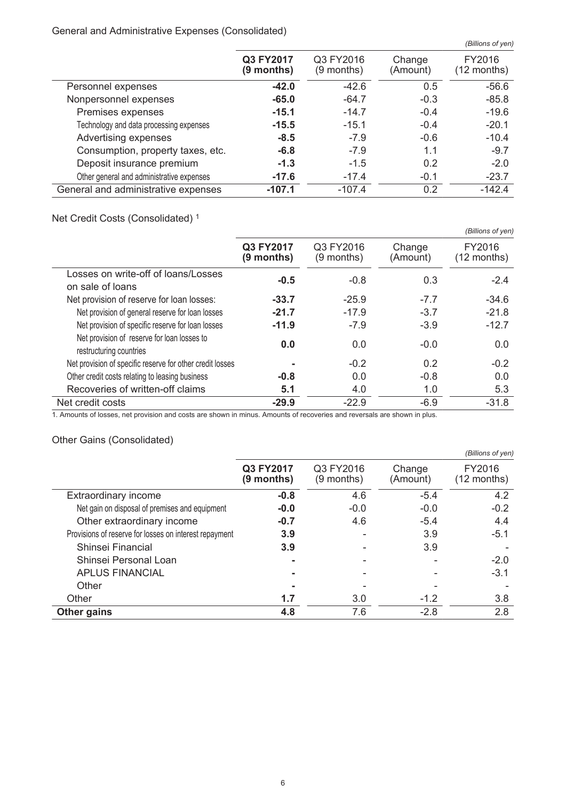#### General and Administrative Expenses (Consolidated)

|                                           |                         |                           |                    | (Billions of yen)       |
|-------------------------------------------|-------------------------|---------------------------|--------------------|-------------------------|
|                                           | Q3 FY2017<br>(9 months) | Q3 FY2016<br>$(9$ months) | Change<br>(Amount) | FY2016<br>$(12$ months) |
| Personnel expenses                        | $-42.0$                 | $-42.6$                   | 0.5                | $-56.6$                 |
| Nonpersonnel expenses                     | $-65.0$                 | $-64.7$                   | $-0.3$             | $-85.8$                 |
| Premises expenses                         | $-15.1$                 | $-14.7$                   | $-0.4$             | $-19.6$                 |
| Technology and data processing expenses   | $-15.5$                 | $-15.1$                   | $-0.4$             | $-20.1$                 |
| Advertising expenses                      | $-8.5$                  | $-7.9$                    | $-0.6$             | $-10.4$                 |
| Consumption, property taxes, etc.         | $-6.8$                  | $-7.9$                    | 1.1                | $-9.7$                  |
| Deposit insurance premium                 | $-1.3$                  | $-1.5$                    | 0.2                | $-2.0$                  |
| Other general and administrative expenses | $-17.6$                 | $-17.4$                   | $-0.1$             | $-23.7$                 |
| General and administrative expenses       | $-107.1$                | $-107.4$                  | 0.2                | $-142.4$                |

# Net Credit Costs (Consolidated) <sup>1</sup>

|                                                                        |                           |                         |                    | (Billions of yen)       |
|------------------------------------------------------------------------|---------------------------|-------------------------|--------------------|-------------------------|
|                                                                        | Q3 FY2017<br>$(9$ months) | Q3 FY2016<br>(9 months) | Change<br>(Amount) | FY2016<br>$(12$ months) |
| Losses on write-off of loans/Losses<br>on sale of loans                | $-0.5$                    | $-0.8$                  | 0.3                | $-2.4$                  |
| Net provision of reserve for loan losses:                              | $-33.7$                   | $-25.9$                 | $-7.7$             | $-34.6$                 |
| Net provision of general reserve for loan losses                       | $-21.7$                   | $-17.9$                 | $-3.7$             | $-21.8$                 |
| Net provision of specific reserve for loan losses                      | $-11.9$                   | $-7.9$                  | $-3.9$             | $-12.7$                 |
| Net provision of reserve for loan losses to<br>restructuring countries | 0.0                       | 0.0                     | $-0.0$             | 0.0                     |
| Net provision of specific reserve for other credit losses              |                           | $-0.2$                  | 0.2                | $-0.2$                  |
| Other credit costs relating to leasing business                        | $-0.8$                    | 0.0                     | $-0.8$             | 0.0                     |
| Recoveries of written-off claims                                       | 5.1                       | 4.0                     | 1.0                | 5.3                     |
| Net credit costs                                                       | $-29.9$                   | $-22.9$                 | $-6.9$             | $-31.8$                 |

1. Amounts of losses, net provision and costs are shown in minus. Amounts of recoveries and reversals are shown in plus.

# Other Gains (Consolidated)

|                                                        |                         |                           |                    | (Billions of yen)       |
|--------------------------------------------------------|-------------------------|---------------------------|--------------------|-------------------------|
|                                                        | Q3 FY2017<br>(9 months) | Q3 FY2016<br>$(9$ months) | Change<br>(Amount) | FY2016<br>$(12$ months) |
| <b>Extraordinary income</b>                            | $-0.8$                  | 4.6                       | $-5.4$             | 4.2                     |
| Net gain on disposal of premises and equipment         | $-0.0$                  | $-0.0$                    | $-0.0$             | $-0.2$                  |
| Other extraordinary income                             | $-0.7$                  | 4.6                       | $-5.4$             | 4.4                     |
| Provisions of reserve for losses on interest repayment | 3.9                     |                           | 3.9                | $-5.1$                  |
| Shinsei Financial                                      | 3.9                     |                           | 3.9                |                         |
| Shinsei Personal Loan                                  |                         |                           |                    | $-2.0$                  |
| <b>APLUS FINANCIAL</b>                                 |                         |                           |                    | $-3.1$                  |
| Other                                                  |                         |                           |                    |                         |
| Other                                                  | 1.7                     | 3.0                       | $-1.2$             | 3.8                     |
| <b>Other gains</b>                                     | 4.8                     | 7.6                       | $-2.8$             | 2.8                     |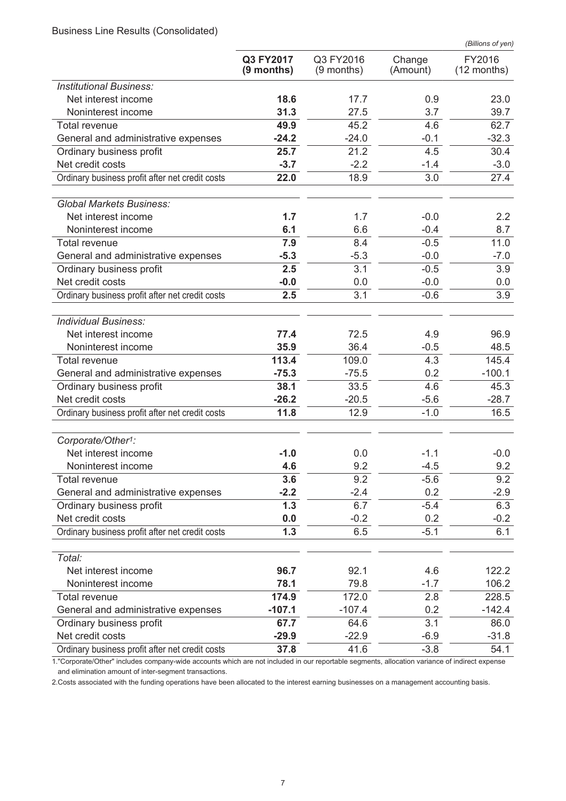Business Line Results (Consolidated)

|                                                 |                           |                           |                    | (Billions of yen)     |
|-------------------------------------------------|---------------------------|---------------------------|--------------------|-----------------------|
|                                                 | Q3 FY2017<br>$(9$ months) | Q3 FY2016<br>$(9$ months) | Change<br>(Amount) | FY2016<br>(12 months) |
| <b>Institutional Business:</b>                  |                           |                           |                    |                       |
| Net interest income                             | 18.6                      | 17.7                      | 0.9                | 23.0                  |
| Noninterest income                              | 31.3                      | 27.5                      | 3.7                | 39.7                  |
| Total revenue                                   | 49.9                      | 45.2                      | 4.6                | 62.7                  |
| General and administrative expenses             | $-24.2$                   | $-24.0$                   | $-0.1$             | $-32.3$               |
| Ordinary business profit                        | 25.7                      | 21.2                      | 4.5                | 30.4                  |
| Net credit costs                                | $-3.7$                    | $-2.2$                    | $-1.4$             | $-3.0$                |
| Ordinary business profit after net credit costs | 22.0                      | 18.9                      | 3.0                | 27.4                  |
| <b>Global Markets Business:</b>                 |                           |                           |                    |                       |
| Net interest income                             | 1.7                       | 1.7                       | $-0.0$             | $2.2\phantom{0}$      |
| Noninterest income                              | 6.1                       | 6.6                       | $-0.4$             | 8.7                   |
| Total revenue                                   | 7.9                       | 8.4                       | $-0.5$             | 11.0                  |
| General and administrative expenses             | $-5.3$                    | $-5.3$                    | $-0.0$             | $-7.0$                |
| Ordinary business profit                        | 2.5                       | 3.1                       | $-0.5$             | 3.9                   |
| Net credit costs                                | $-0.0$                    | 0.0                       | $-0.0$             | 0.0                   |
| Ordinary business profit after net credit costs | 2.5                       | 3.1                       | $-0.6$             | 3.9                   |
| <b>Individual Business:</b>                     |                           |                           |                    |                       |
| Net interest income                             | 77.4                      | 72.5                      | 4.9                | 96.9                  |
| Noninterest income                              | 35.9                      | 36.4                      | $-0.5$             | 48.5                  |
| Total revenue                                   | 113.4                     | 109.0                     | 4.3                | 145.4                 |
| General and administrative expenses             | $-75.3$                   | $-75.5$                   | 0.2                | $-100.1$              |
| Ordinary business profit                        | 38.1                      | 33.5                      | 4.6                | 45.3                  |
| Net credit costs                                | $-26.2$                   | $-20.5$                   | $-5.6$             | $-28.7$               |
| Ordinary business profit after net credit costs | 11.8                      | 12.9                      | $-1.0$             | 16.5                  |
| Corporate/Other <sup>1</sup> :                  |                           |                           |                    |                       |
| Net interest income                             | $-1.0$                    | 0.0                       | $-1.1$             | $-0.0$                |
| Noninterest income                              | 4.6                       | 9.2                       | $-4.5$             | 9.2                   |
| <b>Total revenue</b>                            | 3.6                       | 9.2                       | $-5.6$             | 9.2                   |
| General and administrative expenses             | $-2.2$                    | $-2.4$                    | 0.2                | $-2.9$                |
| Ordinary business profit                        | 1.3                       | 6.7                       | $-5.4$             | 6.3                   |
| Net credit costs                                | 0.0                       | $-0.2$                    | 0.2                | $-0.2$                |
| Ordinary business profit after net credit costs | 1.3                       | 6.5                       | $-5.1$             | 6.1                   |
| Total:                                          |                           |                           |                    |                       |
| Net interest income                             | 96.7                      | 92.1                      | 4.6                | 122.2                 |
| Noninterest income                              | 78.1                      | 79.8                      | $-1.7$             | 106.2                 |
| Total revenue                                   | 174.9                     | 172.0                     | 2.8                | 228.5                 |
| General and administrative expenses             | $-107.1$                  | $-107.4$                  | 0.2                | $-142.4$              |
| Ordinary business profit                        | 67.7                      | 64.6                      | 3.1                | 86.0                  |
| Net credit costs                                | $-29.9$                   | $-22.9$                   | $-6.9$             | $-31.8$               |
| Ordinary business profit after net credit costs | 37.8                      | 41.6                      | $-3.8$             | 54.1                  |

1."Corporate/Other" includes company-wide accounts which are not included in our reportable segments, allocation variance of indirect expense and elimination amount of inter-segment transactions.

2.Costs associated with the funding operations have been allocated to the interest earning businesses on a management accounting basis.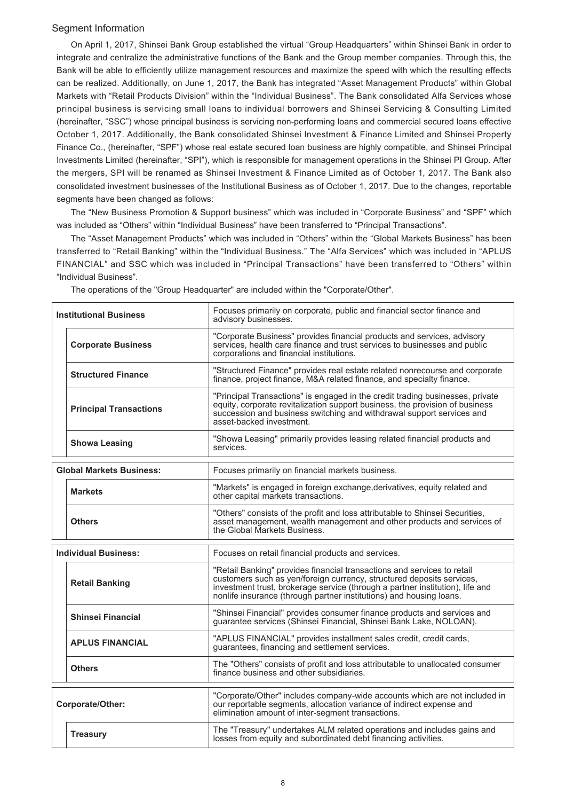#### Segment Information

On April 1, 2017, Shinsei Bank Group established the virtual "Group Headquarters" within Shinsei Bank in order to integrate and centralize the administrative functions of the Bank and the Group member companies. Through this, the Bank will be able to efficiently utilize management resources and maximize the speed with which the resulting effects can be realized. Additionally, on June 1, 2017, the Bank has integrated "Asset Management Products" within Global Markets with "Retail Products Division" within the "Individual Business". The Bank consolidated Alfa Services whose principal business is servicing small loans to individual borrowers and Shinsei Servicing & Consulting Limited (hereinafter, "SSC") whose principal business is servicing non-performing loans and commercial secured loans effective October 1, 2017. Additionally, the Bank consolidated Shinsei Investment & Finance Limited and Shinsei Property Finance Co., (hereinafter, "SPF") whose real estate secured loan business are highly compatible, and Shinsei Principal Investments Limited (hereinafter, "SPI"), which is responsible for management operations in the Shinsei PI Group. After the mergers, SPI will be renamed as Shinsei Investment & Finance Limited as of October 1, 2017. The Bank also consolidated investment businesses of the Institutional Business as of October 1, 2017. Due to the changes, reportable segments have been changed as follows:

The "New Business Promotion & Support business" which was included in "Corporate Business" and "SPF" which was included as "Others" within "Individual Business" have been transferred to "Principal Transactions".

The "Asset Management Products" which was included in "Others" within the "Global Markets Business" has been transferred to "Retail Banking" within the "Individual Business." The "Alfa Services" which was included in "APLUS FINANCIAL" and SSC which was included in "Principal Transactions" have been transferred to "Others" within "Individual Business".

| <b>Institutional Business</b>   | Focuses primarily on corporate, public and financial sector finance and<br>advisory businesses.                                                                                                                                                                                                          |
|---------------------------------|----------------------------------------------------------------------------------------------------------------------------------------------------------------------------------------------------------------------------------------------------------------------------------------------------------|
| <b>Corporate Business</b>       | "Corporate Business" provides financial products and services, advisory<br>services, health care finance and trust services to businesses and public<br>corporations and financial institutions.                                                                                                         |
| <b>Structured Finance</b>       | "Structured Finance" provides real estate related nonrecourse and corporate<br>finance, project finance, M&A related finance, and specialty finance.                                                                                                                                                     |
| <b>Principal Transactions</b>   | "Principal Transactions" is engaged in the credit trading businesses, private<br>equity, corporate revitalization support business, the provision of business<br>succession and business switching and withdrawal support services and<br>asset-backed investment.                                       |
| <b>Showa Leasing</b>            | "Showa Leasing" primarily provides leasing related financial products and<br>services.                                                                                                                                                                                                                   |
| <b>Global Markets Business:</b> | Focuses primarily on financial markets business.                                                                                                                                                                                                                                                         |
| <b>Markets</b>                  | "Markets" is engaged in foreign exchange, derivatives, equity related and<br>other capital markets transactions.                                                                                                                                                                                         |
| <b>Others</b>                   | "Others" consists of the profit and loss attributable to Shinsei Securities,<br>asset management, wealth management and other products and services of<br>the Global Markets Business.                                                                                                                   |
| <b>Individual Business:</b>     | Focuses on retail financial products and services.                                                                                                                                                                                                                                                       |
| <b>Retail Banking</b>           | "Retail Banking" provides financial transactions and services to retail<br>customers such as yen/foreign currency, structured deposits services,<br>investment trust, brokerage service (through a partner institution), life and<br>nonlife insurance (through partner institutions) and housing loans. |
| <b>Shinsei Financial</b>        | "Shinsei Financial" provides consumer finance products and services and<br>guarantee services (Shinsei Financial, Shinsei Bank Lake, NOLOAN).                                                                                                                                                            |
| <b>APLUS FINANCIAL</b>          | "APLUS FINANCIAL" provides installment sales credit, credit cards,<br>guarantees, financing and settlement services.                                                                                                                                                                                     |
| <b>Others</b>                   | The "Others" consists of profit and loss attributable to unallocated consumer<br>finance business and other subsidiaries.                                                                                                                                                                                |
| Corporate/Other:                | "Corporate/Other" includes company-wide accounts which are not included in<br>our reportable segments, allocation variance of indirect expense and<br>elimination amount of inter-segment transactions.                                                                                                  |
| <b>Treasury</b>                 | The "Treasury" undertakes ALM related operations and includes gains and<br>losses from equity and subordinated debt financing activities.                                                                                                                                                                |

The operations of the "Group Headquarter" are included within the "Corporate/Other".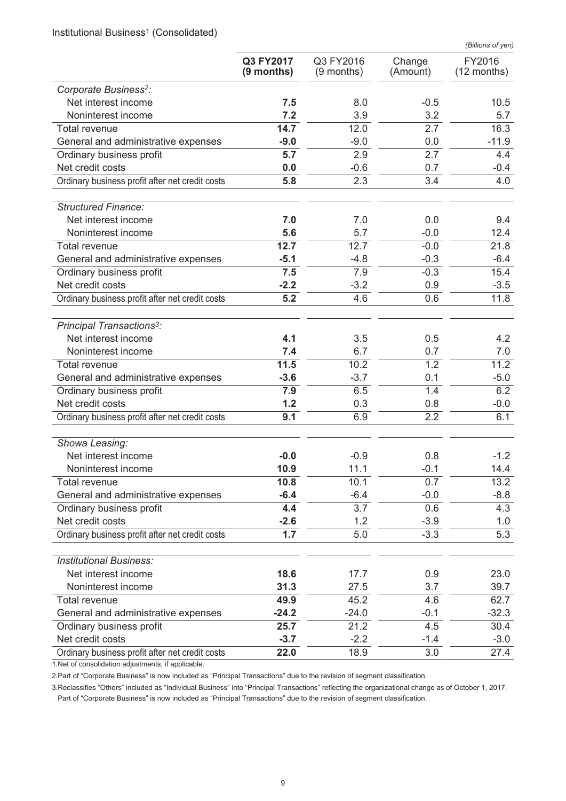Institutional Business<sup>1</sup> (Consolidated)

|                                                                 |                         |                           |                    | (Billions of yen)       |
|-----------------------------------------------------------------|-------------------------|---------------------------|--------------------|-------------------------|
|                                                                 | Q3 FY2017<br>(9 months) | Q3 FY2016<br>$(9$ months) | Change<br>(Amount) | FY2016<br>$(12$ months) |
| Corporate Business <sup>2</sup> :                               |                         |                           |                    |                         |
| Net interest income                                             | 7.5                     | 8.0                       | $-0.5$             | 10.5                    |
| Noninterest income                                              | 7.2                     | 3.9                       | 3.2                | 5.7                     |
| <b>Total revenue</b>                                            | 14.7                    | 12.0                      | 2.7                | 16.3                    |
| General and administrative expenses                             | $-9.0$                  | $-9.0$                    | 0.0                | $-11.9$                 |
| Ordinary business profit                                        | 5.7                     | 2.9                       | 2.7                | 4.4                     |
| Net credit costs                                                | 0.0                     | $-0.6$                    | 0.7                | $-0.4$                  |
| Ordinary business profit after net credit costs                 | 5.8                     | 2.3                       | 3.4                | 4.0                     |
| <b>Structured Finance:</b>                                      |                         |                           |                    |                         |
| Net interest income                                             | 7.0                     | 7.0                       | 0.0                | 9.4                     |
| Noninterest income                                              | 5.6                     | 5.7                       | $-0.0$             | 12.4                    |
| Total revenue                                                   | 12.7                    | 12.7                      | $-0.0$             | 21.8                    |
| General and administrative expenses                             | $-5.1$                  | $-4.8$                    | $-0.3$             | $-6.4$                  |
| Ordinary business profit                                        | 7.5                     | 7.9                       | $-0.3$             | 15.4                    |
| Net credit costs                                                | $-2.2$                  | $-3.2$                    | 0.9                | $-3.5$                  |
| Ordinary business profit after net credit costs                 | 5.2                     | 4.6                       | 0.6                | 11.8                    |
| Principal Transactions <sup>3</sup> :                           |                         |                           |                    |                         |
| Net interest income                                             | 4.1                     | 3.5                       | 0.5                | 4.2                     |
| Noninterest income                                              | 7.4                     | 6.7                       | 0.7                | 7.0                     |
| Total revenue                                                   | 11.5                    | 10.2<br>$-3.7$            | 1.2<br>0.1         | 11.2                    |
| General and administrative expenses<br>Ordinary business profit | $-3.6$<br>7.9           | 6.5                       | 1.4                | $-5.0$<br>6.2           |
| Net credit costs                                                | 1.2                     | 0.3                       | 0.8                | $-0.0$                  |
| Ordinary business profit after net credit costs                 | 9.1                     | 6.9                       | 2.2                | 6.1                     |
| Showa Leasing:                                                  |                         |                           |                    |                         |
| Net interest income                                             | $-0.0$                  | $-0.9$                    | 0.8                | $-1.2$                  |
| Noninterest income                                              | 10.9                    | 11.1                      | $-0.1$             | 14.4                    |
| <b>Total revenue</b>                                            | 10.8                    | 10.1                      | 0.7                | 13.2                    |
| General and administrative expenses                             | $-6.4$                  | $-6.4$                    | $-0.0$             | $-8.8$                  |
| Ordinary business profit                                        | 4.4                     | 3.7                       | 0.6                | 4.3                     |
| Net credit costs                                                | $-2.6$                  | 1.2                       | $-3.9$             | 1.0                     |
| Ordinary business profit after net credit costs                 | 1.7                     | 5.0                       | $-3.3$             | 5.3                     |
| <b>Institutional Business:</b>                                  |                         |                           |                    |                         |
| Net interest income                                             | 18.6                    | 17.7                      | 0.9                | 23.0                    |
| Noninterest income                                              | 31.3                    | 27.5                      | 3.7                | 39.7                    |
| Total revenue                                                   | 49.9                    | 45.2                      | 4.6                | 62.7                    |
| General and administrative expenses                             | $-24.2$                 | $-24.0$                   | $-0.1$             | $-32.3$                 |
| Ordinary business profit                                        | 25.7                    | 21.2                      | 4.5                | 30.4                    |
| Net credit costs                                                | $-3.7$                  | $-2.2$                    | $-1.4$             | $-3.0$                  |
| Ordinary business profit after net credit costs                 | 22.0                    | 18.9                      | 3.0                | 27.4                    |

1.Net of consolidation adjustments, if applicable.

2.Part of "Corporate Business" is now included as "Principal Transactions" due to the revision of segment classification.

3.Reclassifies "Others" included as "Individual Business" into "Principal Transactions" reflecting the organizational change as of October 1, 2017. Part of "Corporate Business" is now included as "Principal Transactions" due to the revision of segment classification.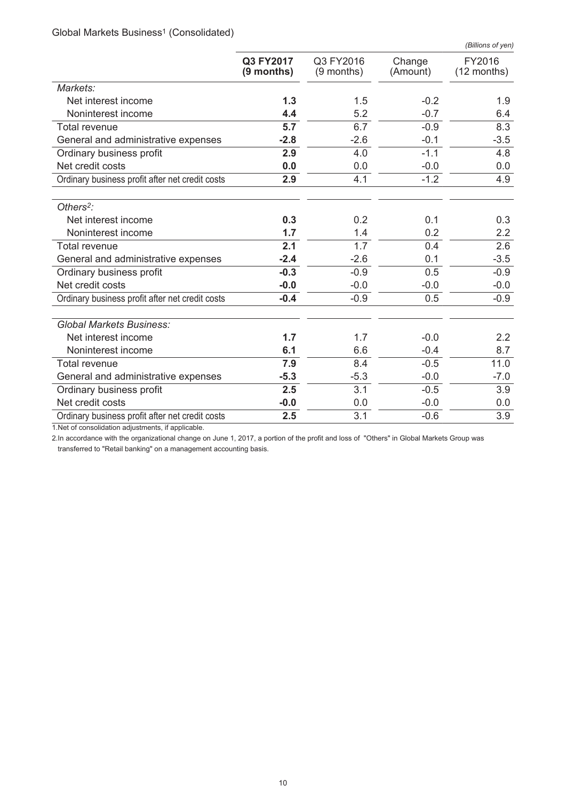Global Markets Business<sup>1</sup> (Consolidated)

|                                                 |                           |                           |                    | (Billions of yen)       |
|-------------------------------------------------|---------------------------|---------------------------|--------------------|-------------------------|
|                                                 | Q3 FY2017<br>$(9$ months) | Q3 FY2016<br>$(9$ months) | Change<br>(Amount) | FY2016<br>$(12$ months) |
| Markets:                                        |                           |                           |                    |                         |
| Net interest income                             | 1.3                       | 1.5                       | $-0.2$             | 1.9                     |
| Noninterest income                              | 4.4                       | 5.2                       | $-0.7$             | 6.4                     |
| <b>Total revenue</b>                            | 5.7                       | 6.7                       | $-0.9$             | 8.3                     |
| General and administrative expenses             | $-2.8$                    | $-2.6$                    | $-0.1$             | $-3.5$                  |
| Ordinary business profit                        | 2.9                       | 4.0                       | $-1.1$             | 4.8                     |
| Net credit costs                                | 0.0                       | 0.0                       | $-0.0$             | 0.0                     |
| Ordinary business profit after net credit costs | 2.9                       | 4.1                       | $-1.2$             | 4.9                     |
| Others <sup>2</sup> :                           |                           |                           |                    |                         |
| Net interest income                             | 0.3                       | 0.2                       | 0.1                | 0.3                     |
| Noninterest income                              | 1.7                       | 1.4                       | 0.2                | 2.2                     |
| Total revenue                                   | 2.1                       | 1.7                       | 0.4                | 2.6                     |
| General and administrative expenses             | $-2.4$                    | $-2.6$                    | 0.1                | $-3.5$                  |
| Ordinary business profit                        | $-0.3$                    | $-0.9$                    | 0.5                | $-0.9$                  |
| Net credit costs                                | $-0.0$                    | $-0.0$                    | $-0.0$             | $-0.0$                  |
| Ordinary business profit after net credit costs | $-0.4$                    | $-0.9$                    | 0.5                | $-0.9$                  |
| <b>Global Markets Business:</b>                 |                           |                           |                    |                         |
| Net interest income                             | 1.7                       | 1.7                       | $-0.0$             | $2.2\phantom{0}$        |
| Noninterest income                              | 6.1                       | 6.6                       | $-0.4$             | 8.7                     |
| Total revenue                                   | 7.9                       | 8.4                       | $-0.5$             | 11.0                    |
| General and administrative expenses             | $-5.3$                    | $-5.3$                    | $-0.0$             | $-7.0$                  |
| Ordinary business profit                        | 2.5                       | 3.1                       | $-0.5$             | 3.9                     |
| Net credit costs                                | $-0.0$                    | 0.0                       | $-0.0$             | 0.0                     |
| Ordinary business profit after net credit costs | 2.5                       | 3.1                       | $-0.6$             | 3.9                     |

1.Net of consolidation adjustments, if applicable.

2.In accordance with the organizational change on June 1, 2017, a portion of the profit and loss of "Others" in Global Markets Group was transferred to "Retail banking" on a management accounting basis.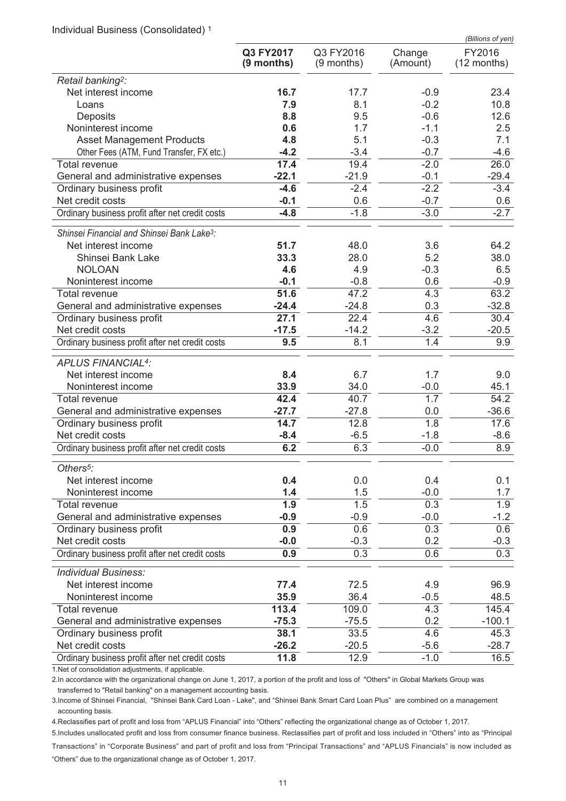Individual Business (Consolidated) <sup>1</sup>

|                                                        |                         |                           |                         | (Billions of yen)       |
|--------------------------------------------------------|-------------------------|---------------------------|-------------------------|-------------------------|
|                                                        | Q3 FY2017<br>(9 months) | Q3 FY2016<br>$(9$ months) | Change<br>(Amount)      | FY2016<br>$(12$ months) |
| Retail banking <sup>2</sup> :                          |                         |                           |                         |                         |
| Net interest income                                    | 16.7                    | 17.7                      | $-0.9$                  | 23.4                    |
| Loans                                                  | 7.9                     | 8.1                       | $-0.2$                  | 10.8                    |
| Deposits                                               | 8.8                     | 9.5                       | $-0.6$                  | 12.6                    |
| Noninterest income                                     | 0.6                     | 1.7                       | $-1.1$                  | 2.5                     |
| <b>Asset Management Products</b>                       | 4.8                     | 5.1                       | $-0.3$                  | 7.1                     |
| Other Fees (ATM, Fund Transfer, FX etc.)               | $-4.2$                  | $-3.4$                    | $-0.7$                  | $-4.6$                  |
| <b>Total revenue</b>                                   | 17.4                    | 19.4                      | $-2.0$                  | 26.0                    |
| General and administrative expenses                    | $-22.1$                 | $-21.9$                   | $-0.1$                  | $-29.4$                 |
| Ordinary business profit                               | $-4.6$                  | $-2.4$                    | $-2.2$                  | $-3.4$                  |
| Net credit costs                                       | $-0.1$                  | 0.6                       | $-0.7$                  | 0.6                     |
| Ordinary business profit after net credit costs        | $-4.8$                  | $-1.8$                    | $-3.0$                  | $-2.7$                  |
| Shinsei Financial and Shinsei Bank Lake <sup>3</sup> : |                         |                           |                         |                         |
| Net interest income                                    | 51.7                    | 48.0                      | 3.6                     | 64.2                    |
| Shinsei Bank Lake                                      | 33.3                    | 28.0                      | 5.2                     | 38.0                    |
| <b>NOLOAN</b><br>Noninterest income                    | 4.6<br>$-0.1$           | 4.9                       | $-0.3$                  | 6.5<br>$-0.9$           |
| <b>Total revenue</b>                                   | 51.6                    | $-0.8$<br>47.2            | 0.6<br>4.3              | 63.2                    |
| General and administrative expenses                    | $-24.4$                 | $-24.8$                   | 0.3                     | $-32.8$                 |
| Ordinary business profit                               | 27.1                    | 22.4                      | 4.6                     | 30.4                    |
| Net credit costs                                       | $-17.5$                 | $-14.2$                   | $-3.2$                  | $-20.5$                 |
| Ordinary business profit after net credit costs        | 9.5                     | 8.1                       | 1.4                     | 9.9                     |
|                                                        |                         |                           |                         |                         |
| <b>APLUS FINANCIAL4:</b>                               |                         |                           |                         |                         |
| Net interest income                                    | 8.4                     | 6.7                       | 1.7                     | 9.0                     |
| Noninterest income                                     | 33.9                    | 34.0                      | $-0.0$                  | 45.1                    |
| <b>Total revenue</b>                                   | 42.4                    | 40.7                      | $\overline{1.7}$        | 54.2                    |
| General and administrative expenses                    | $-27.7$<br>14.7         | $-27.8$                   | 0.0<br>$\overline{1.8}$ | $-36.6$                 |
| Ordinary business profit<br>Net credit costs           | $-8.4$                  | 12.8<br>$-6.5$            | $-1.8$                  | 17.6<br>$-8.6$          |
| Ordinary business profit after net credit costs        | 6.2                     | 6.3                       | $-0.0$                  | 8.9                     |
|                                                        |                         |                           |                         |                         |
| Others <sup>5</sup> :                                  |                         |                           |                         |                         |
| Net interest income                                    | 0.4                     | 0.0                       | 0.4                     | 0.1                     |
| Noninterest income                                     | 1.4<br>1.9              | 1.5<br>1.5                | $-0.0$<br>0.3           | 1.7<br>1.9              |
| Total revenue<br>General and administrative expenses   | $-0.9$                  | $-0.9$                    | $-0.0$                  | $-1.2$                  |
| Ordinary business profit                               | 0.9                     | 0.6                       | 0.3                     | 0.6                     |
| Net credit costs                                       | $-0.0$                  | $-0.3$                    | 0.2                     | $-0.3$                  |
| Ordinary business profit after net credit costs        | 0.9                     | 0.3                       | 0.6                     | 0.3                     |
| <b>Individual Business:</b>                            |                         |                           |                         |                         |
| Net interest income                                    |                         | 72.5                      |                         |                         |
| Noninterest income                                     | 77.4<br>35.9            | 36.4                      | 4.9<br>$-0.5$           | 96.9<br>48.5            |
| <b>Total revenue</b>                                   | 113.4                   | 109.0                     | 4.3                     | 145.4                   |
| General and administrative expenses                    | $-75.3$                 | $-75.5$                   | 0.2                     | $-100.1$                |
| Ordinary business profit                               | 38.1                    | 33.5                      | 4.6                     | 45.3                    |
| Net credit costs                                       | $-26.2$                 | $-20.5$                   | $-5.6$                  | $-28.7$                 |
| Ordinary business profit after net credit costs        | 11.8                    | 12.9                      | $-1.0$                  | 16.5                    |
| 1 Not of concolidation adjustments if applicable       |                         |                           |                         |                         |

1.Net of consolidation adjustments, if applicable.

2.In accordance with the organizational change on June 1, 2017, a portion of the profit and loss of "Others" in Global Markets Group was transferred to "Retail banking" on a management accounting basis.

3.Income of Shinsei Financial, "Shinsei Bank Card Loan - Lake", and "Shinsei Bank Smart Card Loan Plus" are combined on a management accounting basis.

4.Reclassifies part of profit and loss from "APLUS Financial" into "Others" reflecting the organizational change as of October 1, 2017.

5.Includes unallocated profit and loss from consumer finance business. Reclassifies part of profit and loss included in "Others" into as "Principal Transactions" in "Corporate Business" and part of profit and loss from "Principal Transactions" and "APLUS Financials" is now included as "Others" due to the organizational change as of October 1, 2017.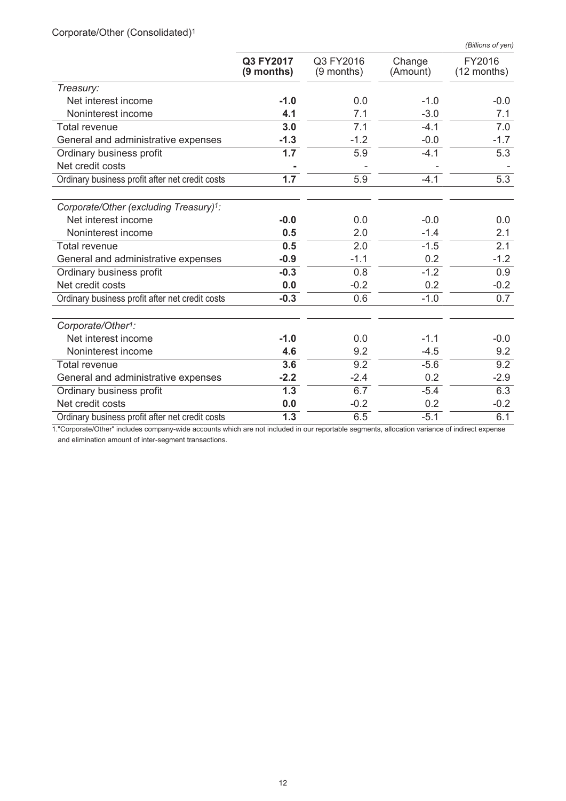|                                                 | (Billions of yen)       |                           |                    |                       |  |
|-------------------------------------------------|-------------------------|---------------------------|--------------------|-----------------------|--|
|                                                 | Q3 FY2017<br>(9 months) | Q3 FY2016<br>$(9$ months) | Change<br>(Amount) | FY2016<br>(12 months) |  |
| Treasury:                                       |                         |                           |                    |                       |  |
| Net interest income                             | $-1.0$                  | 0.0                       | $-1.0$             | $-0.0$                |  |
| Noninterest income                              | 4.1                     | 7.1                       | $-3.0$             | 7.1                   |  |
| <b>Total revenue</b>                            | 3.0                     | 7.1                       | $-4.1$             | 7.0                   |  |
| General and administrative expenses             | $-1.3$                  | $-1.2$                    | $-0.0$             | $-1.7$                |  |
| Ordinary business profit                        | 1.7                     | 5.9                       | $-4.1$             | 5.3                   |  |
| Net credit costs                                |                         |                           |                    |                       |  |
| Ordinary business profit after net credit costs | 1.7                     | 5.9                       | $-4.1$             | 5.3                   |  |
| Corporate/Other (excluding Treasury)1:          |                         |                           |                    |                       |  |
| Net interest income                             | $-0.0$                  | 0.0                       | $-0.0$             | 0.0                   |  |
| Noninterest income                              | 0.5                     | 2.0                       | $-1.4$             | 2.1                   |  |
| <b>Total revenue</b>                            | $0.\overline{5}$        | 2.0                       | $-1.5$             | 2.1                   |  |
| General and administrative expenses             | $-0.9$                  | $-1.1$                    | 0.2                | $-1.2$                |  |
| Ordinary business profit                        | $-0.3$                  | 0.8                       | $-1.2$             | 0.9                   |  |
| Net credit costs                                | 0.0                     | $-0.2$                    | 0.2                | $-0.2$                |  |
| Ordinary business profit after net credit costs | $-0.3$                  | 0.6                       | $-1.0$             | 0.7                   |  |
| Corporate/Other <sup>1</sup> :                  |                         |                           |                    |                       |  |
| Net interest income                             | $-1.0$                  | 0.0                       | $-1.1$             | $-0.0$                |  |
| Noninterest income                              | 4.6                     | 9.2                       | $-4.5$             | 9.2                   |  |
| Total revenue                                   | 3.6                     | 9.2                       | $-5.6$             | 9.2                   |  |
| General and administrative expenses             | $-2.2$                  | $-2.4$                    | 0.2                | $-2.9$                |  |
| Ordinary business profit                        | 1.3                     | 6.7                       | $-5.4$             | 6.3                   |  |
| Net credit costs                                | 0.0                     | $-0.2$                    | 0.2                | $-0.2$                |  |
| Ordinary business profit after net credit costs | 1.3                     | 6.5                       | $-5.1$             | 6.1                   |  |

Corporate/Other (Consolidated)<sup>1</sup>

1."Corporate/Other" includes company-wide accounts which are not included in our reportable segments, allocation variance of indirect expense and elimination amount of inter-segment transactions.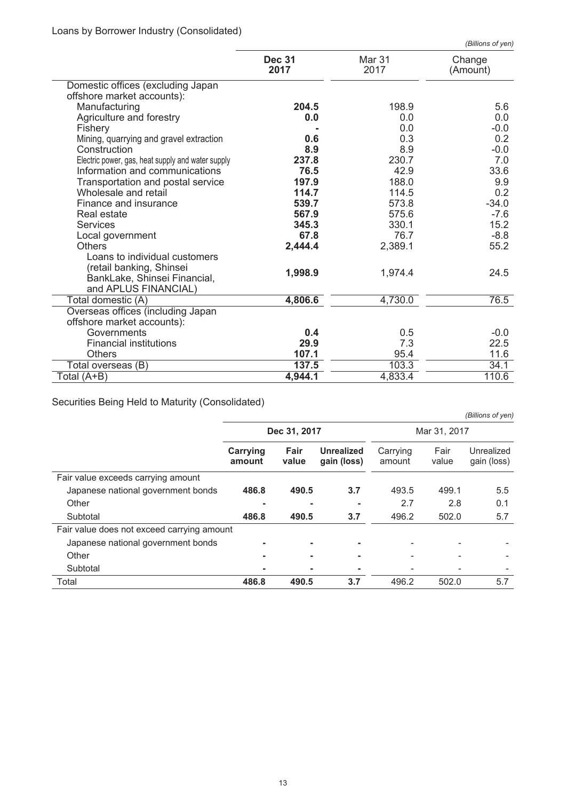|                                                   |                       |                | (Billions of yen)  |
|---------------------------------------------------|-----------------------|----------------|--------------------|
|                                                   | <b>Dec 31</b><br>2017 | Mar 31<br>2017 | Change<br>(Amount) |
| Domestic offices (excluding Japan                 |                       |                |                    |
| offshore market accounts):                        |                       |                |                    |
| Manufacturing                                     | 204.5                 | 198.9          | 5.6                |
| Agriculture and forestry                          | 0.0                   | 0.0            | 0.0                |
| Fishery                                           |                       | 0.0            | $-0.0$             |
| Mining, quarrying and gravel extraction           | 0.6                   | 0.3            | 0.2                |
| Construction                                      | 8.9                   | 8.9            | $-0.0$             |
| Electric power, gas, heat supply and water supply | 237.8                 | 230.7          | 7.0                |
| Information and communications                    | 76.5                  | 42.9           | 33.6               |
| Transportation and postal service                 | 197.9                 | 188.0          | 9.9                |
| Wholesale and retail                              | 114.7                 | 114.5          | 0.2                |
| Finance and insurance                             | 539.7                 | 573.8          | $-34.0$            |
| Real estate                                       | 567.9                 | 575.6          | $-7.6$             |
| <b>Services</b>                                   | 345.3                 | 330.1          | 15.2               |
| Local government                                  | 67.8                  | 76.7           | $-8.8$             |
| <b>Others</b>                                     | 2,444.4               | 2,389.1        | 55.2               |
| Loans to individual customers                     |                       |                |                    |
| (retail banking, Shinsei                          | 1,998.9               | 1,974.4        | 24.5               |
| BankLake, Shinsei Financial,                      |                       |                |                    |
| and APLUS FINANCIAL)                              |                       |                |                    |
| Total domestic (A)                                | 4,806.6               | 4,730.0        | 76.5               |
| Overseas offices (including Japan                 |                       |                |                    |
| offshore market accounts):                        |                       |                |                    |
| Governments                                       | 0.4                   | 0.5            | $-0.0$             |
| <b>Financial institutions</b>                     | 29.9                  | 7.3            | 22.5               |
| <b>Others</b>                                     | 107.1                 | 95.4           | 11.6               |
| Total overseas (B)                                | 137.5                 | 103.3          | 34.1               |
| Total (A+B)                                       | 4,944.1               | 4,833.4        | 110.6              |

Securities Being Held to Maturity (Consolidated)

|                                            | Dec 31, 2017       |               |                                  |                          | Mar 31, 2017  |                           |
|--------------------------------------------|--------------------|---------------|----------------------------------|--------------------------|---------------|---------------------------|
|                                            | Carrying<br>amount | Fair<br>value | <b>Unrealized</b><br>gain (loss) | Carrying<br>amount       | Fair<br>value | Unrealized<br>gain (loss) |
| Fair value exceeds carrying amount         |                    |               |                                  |                          |               |                           |
| Japanese national government bonds         | 486.8              | 490.5         | 3.7                              | 493.5                    | 499.1         | 5.5                       |
| Other                                      |                    |               |                                  | 2.7                      | 2.8           | 0.1                       |
| Subtotal                                   | 486.8              | 490.5         | 3.7                              | 496.2                    | 502.0         | 5.7                       |
| Fair value does not exceed carrying amount |                    |               |                                  |                          |               |                           |
| Japanese national government bonds         |                    |               |                                  |                          |               |                           |
| Other                                      | ۰                  |               |                                  | $\overline{\phantom{a}}$ |               |                           |
| Subtotal                                   |                    |               |                                  |                          |               |                           |
| Total                                      | 486.8              | 490.5         | 3.7                              | 496.2                    | 502.0         | 5.7                       |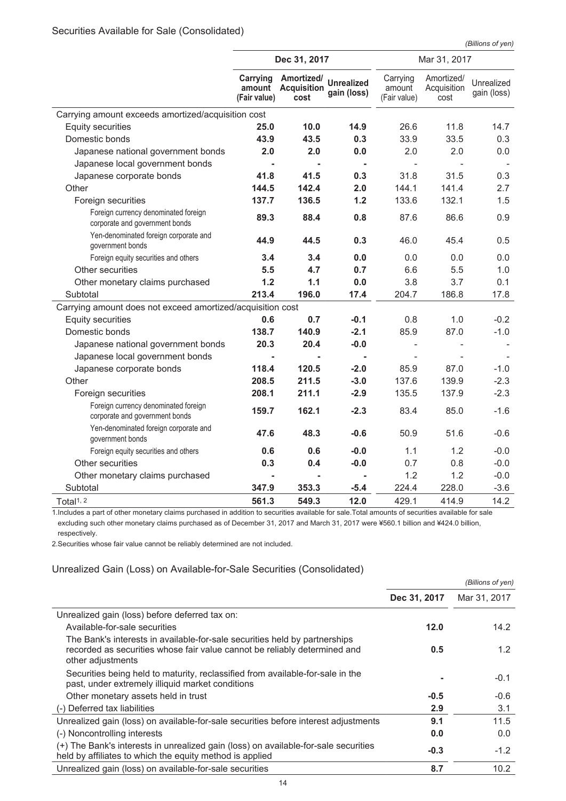*(Billions of yen)*

|                                                                        | Dec 31, 2017                       |                                          |                                  |                                    | Mar 31, 2017                      |                           |
|------------------------------------------------------------------------|------------------------------------|------------------------------------------|----------------------------------|------------------------------------|-----------------------------------|---------------------------|
|                                                                        | Carrying<br>amount<br>(Fair value) | Amortized/<br><b>Acquisition</b><br>cost | <b>Unrealized</b><br>gain (loss) | Carrying<br>amount<br>(Fair value) | Amortized/<br>Acquisition<br>cost | Unrealized<br>gain (loss) |
| Carrying amount exceeds amortized/acquisition cost                     |                                    |                                          |                                  |                                    |                                   |                           |
| <b>Equity securities</b>                                               | 25.0                               | 10.0                                     | 14.9                             | 26.6                               | 11.8                              | 14.7                      |
| Domestic bonds                                                         | 43.9                               | 43.5                                     | 0.3                              | 33.9                               | 33.5                              | 0.3                       |
| Japanese national government bonds                                     | 2.0                                | 2.0                                      | 0.0                              | 2.0                                | 2.0                               | 0.0                       |
| Japanese local government bonds                                        | $\blacksquare$                     |                                          | $\blacksquare$                   | $\overline{\phantom{a}}$           |                                   |                           |
| Japanese corporate bonds                                               | 41.8                               | 41.5                                     | 0.3                              | 31.8                               | 31.5                              | 0.3                       |
| Other                                                                  | 144.5                              | 142.4                                    | 2.0                              | 144.1                              | 141.4                             | 2.7                       |
| Foreign securities                                                     | 137.7                              | 136.5                                    | 1.2                              | 133.6                              | 132.1                             | 1.5                       |
| Foreign currency denominated foreign<br>corporate and government bonds | 89.3                               | 88.4                                     | 0.8                              | 87.6                               | 86.6                              | 0.9                       |
| Yen-denominated foreign corporate and<br>government bonds              | 44.9                               | 44.5                                     | 0.3                              | 46.0                               | 45.4                              | 0.5                       |
| Foreign equity securities and others                                   | 3.4                                | 3.4                                      | 0.0                              | 0.0                                | 0.0                               | 0.0                       |
| Other securities                                                       | 5.5                                | 4.7                                      | 0.7                              | 6.6                                | 5.5                               | 1.0                       |
| Other monetary claims purchased                                        | 1.2                                | 1.1                                      | 0.0                              | 3.8                                | 3.7                               | 0.1                       |
| Subtotal                                                               | 213.4                              | 196.0                                    | 17.4                             | 204.7                              | 186.8                             | 17.8                      |
| Carrying amount does not exceed amortized/acquisition cost             |                                    |                                          |                                  |                                    |                                   |                           |
| <b>Equity securities</b>                                               | 0.6                                | 0.7                                      | $-0.1$                           | 0.8                                | 1.0                               | $-0.2$                    |
| Domestic bonds                                                         | 138.7                              | 140.9                                    | $-2.1$                           | 85.9                               | 87.0                              | $-1.0$                    |
| Japanese national government bonds                                     | 20.3                               | 20.4                                     | $-0.0$                           |                                    |                                   |                           |
| Japanese local government bonds                                        |                                    |                                          | $\blacksquare$                   |                                    |                                   |                           |
| Japanese corporate bonds                                               | 118.4                              | 120.5                                    | $-2.0$                           | 85.9                               | 87.0                              | $-1.0$                    |
| Other                                                                  | 208.5                              | 211.5                                    | $-3.0$                           | 137.6                              | 139.9                             | $-2.3$                    |
| Foreign securities                                                     | 208.1                              | 211.1                                    | $-2.9$                           | 135.5                              | 137.9                             | $-2.3$                    |
| Foreign currency denominated foreign<br>corporate and government bonds | 159.7                              | 162.1                                    | $-2.3$                           | 83.4                               | 85.0                              | $-1.6$                    |
| Yen-denominated foreign corporate and<br>government bonds              | 47.6                               | 48.3                                     | $-0.6$                           | 50.9                               | 51.6                              | $-0.6$                    |
| Foreign equity securities and others                                   | 0.6                                | 0.6                                      | $-0.0$                           | 1.1                                | 1.2                               | $-0.0$                    |
| Other securities                                                       | 0.3                                | 0.4                                      | $-0.0$                           | 0.7                                | 0.8                               | $-0.0$                    |
| Other monetary claims purchased                                        | $\blacksquare$                     |                                          |                                  | 1.2                                | 1.2                               | $-0.0$                    |
| Subtotal                                                               | 347.9                              | 353.3                                    | $-5.4$                           | 224.4                              | 228.0                             | $-3.6$                    |
| Total <sup>1, 2</sup>                                                  | 561.3                              | 549.3                                    | 12.0                             | 429.1                              | 414.9                             | 14.2                      |

1.Includes a part of other monetary claims purchased in addition to securities available for sale.Total amounts of securities available for sale excluding such other monetary claims purchased as of December 31, 2017 and March 31, 2017 were ¥560.1 billion and ¥424.0 billion, respectively.

2.Securities whose fair value cannot be reliably determined are not included.

#### Unrealized Gain (Loss) on Available-for-Sale Securities (Consolidated)

|                                                                                                                                                                              |              | (Billions of yen) |
|------------------------------------------------------------------------------------------------------------------------------------------------------------------------------|--------------|-------------------|
|                                                                                                                                                                              | Dec 31, 2017 | Mar 31, 2017      |
| Unrealized gain (loss) before deferred tax on:                                                                                                                               |              |                   |
| Available-for-sale securities                                                                                                                                                | 12.0         | 14.2              |
| The Bank's interests in available-for-sale securities held by partnerships<br>recorded as securities whose fair value cannot be reliably determined and<br>other adjustments | 0.5          | 1.2               |
| Securities being held to maturity, reclassified from available-for-sale in the<br>past, under extremely illiquid market conditions                                           |              | $-0.1$            |
| Other monetary assets held in trust                                                                                                                                          | $-0.5$       | $-0.6$            |
| (-) Deferred tax liabilities                                                                                                                                                 | 2.9          | 3.1               |
| Unrealized gain (loss) on available-for-sale securities before interest adjustments                                                                                          | 9.1          | 11.5              |
| (-) Noncontrolling interests                                                                                                                                                 | 0.0          | 0.0               |
| (+) The Bank's interests in unrealized gain (loss) on available-for-sale securities<br>held by affiliates to which the equity method is applied                              | $-0.3$       | $-1.2$            |
| Unrealized gain (loss) on available-for-sale securities                                                                                                                      | 8.7          | 10.2              |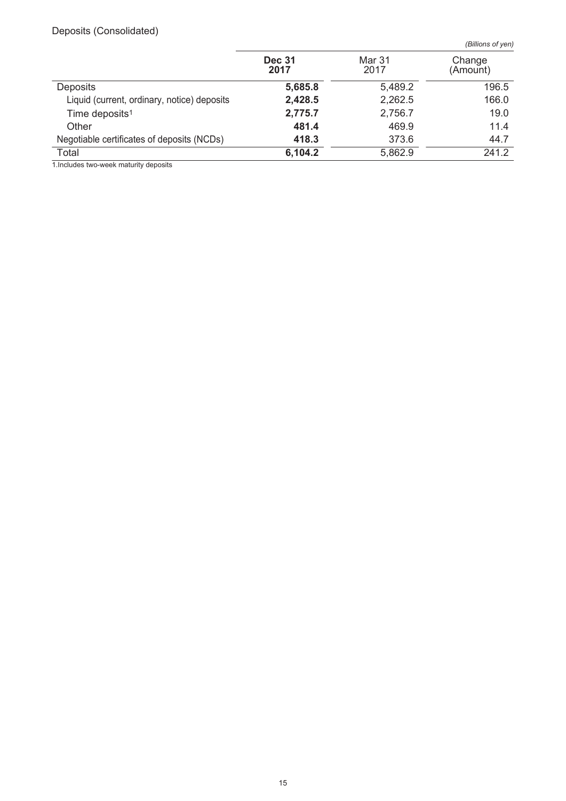# Deposits (Consolidated)

*(Billions of yen)*

|                                             | <b>Dec 31</b><br>2017 | Mar 31<br>2017 | Change<br>(Amount) |
|---------------------------------------------|-----------------------|----------------|--------------------|
| <b>Deposits</b>                             | 5,685.8               | 5,489.2        | 196.5              |
| Liquid (current, ordinary, notice) deposits | 2,428.5               | 2,262.5        | 166.0              |
| Time deposits <sup>1</sup>                  | 2,775.7               | 2,756.7        | 19.0               |
| Other                                       | 481.4                 | 469.9          | 11.4               |
| Negotiable certificates of deposits (NCDs)  | 418.3                 | 373.6          | 44.7               |
| Total                                       | 6,104.2               | 5,862.9        | 241.2              |

1.Includes two-week maturity deposits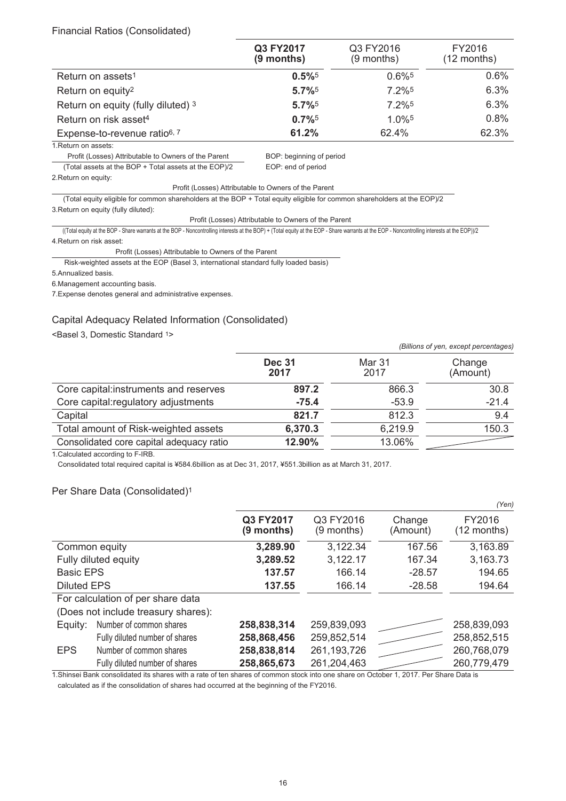#### Financial Ratios (Consolidated)

|                                          | Q3 FY2017<br>$(9$ months) | Q3 FY2016<br>$(9$ months) | FY2016<br>$(12$ months) |
|------------------------------------------|---------------------------|---------------------------|-------------------------|
| Return on assets <sup>1</sup>            | $0.5\%$ <sup>5</sup>      | $0.6\%$ <sup>5</sup>      | 0.6%                    |
| Return on equity <sup>2</sup>            | $5.7\%$ <sup>5</sup>      | 7.2% <sup>5</sup>         | 6.3%                    |
| Return on equity (fully diluted) 3       | $5.7\%$ <sup>5</sup>      | $7.2\%$ <sup>5</sup>      | 6.3%                    |
| Return on risk asset <sup>4</sup>        | $0.7\%$ <sup>5</sup>      | $1.0\%$ <sup>5</sup>      | 0.8%                    |
| Expense-to-revenue ratio <sup>6, 7</sup> | 61.2%                     | 62.4%                     | 62.3%                   |

1.Return on assets:

Profit (Losses) Attributable to Owners of the Parent BOP: beginning of period (Total assets at the BOP + Total assets at the EOP)/2 EOP: end of period

2.Return on equity:

Profit (Losses) Attributable to Owners of the Parent

(Total equity eligible for common shareholders at the BOP + Total equity eligible for common shareholders at the EOP)/2 3.Return on equity (fully diluted):

Profit (Losses) Attributable to Owners of the Parent

((Total equity at the BOP - Share warrants at the BOP - Noncontrolling interests at the BOP) + (Total equity at the EOP - Share warrants at the EOP - Noncontrolling interests at the EOP))/2 4.Return on risk asset:

Profit (Losses) Attributable to Owners of the Parent

Risk-weighted assets at the EOP (Basel 3, international standard fully loaded basis)

5.Annualized basis.

6.Management accounting basis.

7.Expense denotes general and administrative expenses.

#### Capital Adequacy Related Information (Consolidated)

<Basel 3, Domestic Standard 1>

|                                          |                       |                | (Billions of yen, except percentages) |
|------------------------------------------|-----------------------|----------------|---------------------------------------|
|                                          | <b>Dec 31</b><br>2017 | Mar 31<br>2017 | Change<br>(Amount)                    |
| Core capital: instruments and reserves   | 897.2                 | 866.3          | 30.8                                  |
| Core capital: regulatory adjustments     | $-75.4$               | $-53.9$        | $-21.4$                               |
| Capital                                  | 821.7                 | 812.3          | 9.4                                   |
| Total amount of Risk-weighted assets     | 6,370.3               | 6,219.9        | 150.3                                 |
| Consolidated core capital adequacy ratio | 12.90%                | 13.06%         |                                       |

1.Calculated according to F-IRB.

Consolidated total required capital is ¥584.6billion as at Dec 31, 2017, ¥551.3billion as at March 31, 2017.

#### Per Share Data (Consolidated)1

|                    |                                     |                         |                         |                    | (Yen)                   |
|--------------------|-------------------------------------|-------------------------|-------------------------|--------------------|-------------------------|
|                    |                                     | Q3 FY2017<br>(9 months) | Q3 FY2016<br>(9 months) | Change<br>(Amount) | FY2016<br>$(12$ months) |
|                    | Common equity                       | 3,289.90                | 3,122.34                | 167.56             | 3,163.89                |
|                    | Fully diluted equity                | 3,289.52                | 3,122.17                | 167.34             | 3,163.73                |
| <b>Basic EPS</b>   |                                     | 137.57                  | 166.14                  | $-28.57$           | 194.65                  |
| <b>Diluted EPS</b> |                                     | 137.55                  | 166.14                  | $-28.58$           | 194.64                  |
|                    | For calculation of per share data   |                         |                         |                    |                         |
|                    | (Does not include treasury shares): |                         |                         |                    |                         |
| Equity:            | Number of common shares             | 258,838,314             | 259,839,093             |                    | 258,839,093             |
|                    | Fully diluted number of shares      | 258,868,456             | 259,852,514             |                    | 258,852,515             |
| <b>EPS</b>         | Number of common shares             | 258,838,814             | 261, 193, 726           |                    | 260,768,079             |
|                    | Fully diluted number of shares      | 258,865,673             | 261,204,463             |                    | 260,779,479             |

1.Shinsei Bank consolidated its shares with a rate of ten shares of common stock into one share on October 1, 2017. Per Share Data is calculated as if the consolidation of shares had occurred at the beginning of the FY2016.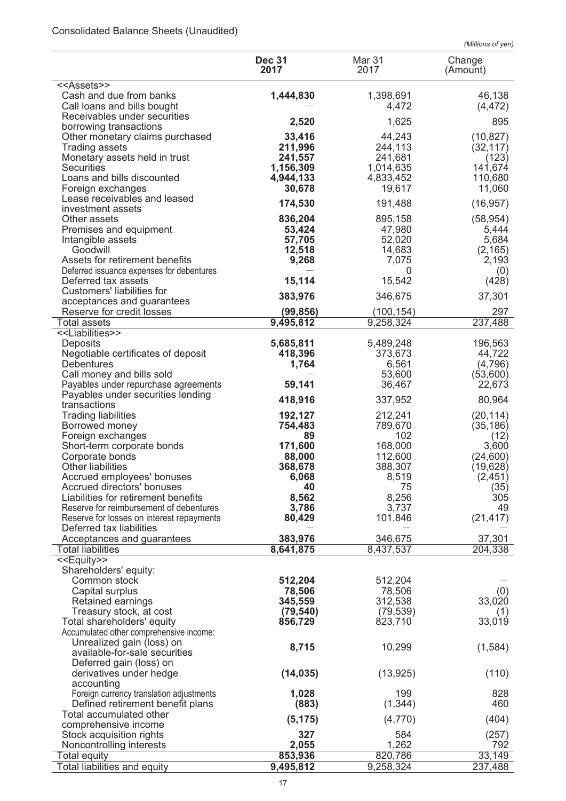# Consolidated Balance Sheets (Unaudited)

|                                                                             |                       |                       | (Millions of yen)  |
|-----------------------------------------------------------------------------|-----------------------|-----------------------|--------------------|
|                                                                             | <b>Dec 31</b><br>2017 | <b>Mar 31</b><br>2017 | Change<br>(Amount) |
| < <assets>&gt;</assets>                                                     |                       |                       |                    |
| Cash and due from banks                                                     | 1,444,830             | 1,398,691             | 46,138             |
| Call loans and bills bought                                                 |                       | 4,472                 | (4, 472)           |
| Receivables under securities                                                | 2,520                 | 1,625                 | 895                |
| borrowing transactions<br>Other monetary claims purchased                   | 33,416                | 44,243                | (10, 827)          |
| <b>Trading assets</b>                                                       | 211,996               | 244,113               | (32, 117)          |
| Monetary assets held in trust                                               | 241,557               | 241,681               | (123)              |
| <b>Securities</b>                                                           | 1,156,309             | 1,014,635             | 141,674            |
| Loans and bills discounted                                                  | 4,944,133             | 4,833,452             | 110,680            |
| Foreign exchanges<br>Lease receivables and leased                           | 30,678                | 19,617                | 11,060             |
| investment assets                                                           | 174,530               | 191,488               | (16, 957)          |
| Other assets                                                                | 836,204               | 895,158               | (58, 954)          |
| Premises and equipment                                                      | 53,424                | 47,980                | 5,444              |
| Intangible assets                                                           | 57,705                | 52,020                | 5,684              |
| Goodwill                                                                    | 12,518                | 14,683                | (2, 165)           |
| Assets for retirement benefits<br>Deferred issuance expenses for debentures | 9,268                 | 7,075<br>0            | 2,193<br>(0)       |
| Deferred tax assets                                                         | 15,114                | 15,542                | (428)              |
| Customers' liabilities for                                                  |                       |                       |                    |
| acceptances and guarantees                                                  | 383,976               | 346,675               | 37,301             |
| Reserve for credit losses                                                   | (99, 856)             | (100, 154)            | 297                |
| Total assets                                                                | 9,495,812             | 9,258,324             | 237,488            |
| < <liabilities>&gt;</liabilities>                                           | 5,685,811             | 5,489,248             | 196,563            |
| Deposits<br>Negotiable certificates of deposit                              | 418,396               | 373,673               | 44,722             |
| <b>Debentures</b>                                                           | 1,764                 | 6,561                 | (4,796)            |
| Call money and bills sold                                                   |                       | 53,600                | (53,600)           |
| Payables under repurchase agreements                                        | 59,141                | 36,467                | 22,673             |
| Payables under securities lending                                           | 418,916               | 337,952               | 80,964             |
| transactions<br><b>Trading liabilities</b>                                  | 192,127               | 212,241               | (20, 114)          |
| Borrowed money                                                              | 754,483               | 789,670               | (35, 186)          |
| Foreign exchanges                                                           | 89                    | 102                   | (12)               |
| Short-term corporate bonds                                                  | 171,600               | 168,000               | 3,600              |
| Corporate bonds                                                             | 88,000                | 112,600               | (24, 600)          |
| Other liabilities                                                           | 368,678               | 388,307               | (19,628)           |
| Accrued employees' bonuses<br>Accrued directors' bonuses                    | 6,068<br>40           | 8,519<br>75           | (2, 451)<br>(35)   |
| Liabilities for retirement benefits                                         | 8,562                 | 8,256                 | 305                |
| Reserve for reimbursement of debentures                                     | 3,786                 | 3,737                 | 49                 |
| Reserve for losses on interest repayments                                   | 80,429                | 101,846               | (21, 417)          |
| Deferred tax liabilities                                                    |                       |                       |                    |
| Acceptances and guarantees<br><b>Total liabilities</b>                      | 383,976<br>8,641,875  | 346,675<br>8,437,537  | 37,301<br>204,338  |
| < <equity>&gt;</equity>                                                     |                       |                       |                    |
| Shareholders' equity:                                                       |                       |                       |                    |
| Common stock                                                                | 512,204               | 512,204               |                    |
| Capital surplus                                                             | 78,506                | 78,506                | (0)                |
| Retained earnings                                                           | 345,559               | 312,538               | 33,020             |
| Treasury stock, at cost<br>Total shareholders' equity                       | (79, 540)<br>856,729  | (79, 539)<br>823,710  | (1)<br>33,019      |
| Accumulated other comprehensive income:                                     |                       |                       |                    |
| Unrealized gain (loss) on                                                   |                       |                       |                    |
| available-for-sale securities                                               | 8,715                 | 10,299                | (1,584)            |
| Deferred gain (loss) on                                                     |                       |                       |                    |
| derivatives under hedge                                                     | (14, 035)             | (13, 925)             | (110)              |
| accounting<br>Foreign currency translation adjustments                      | 1,028                 | 199                   | 828                |
| Defined retirement benefit plans                                            | (883)                 | (1, 344)              | 460                |
| Total accumulated other                                                     |                       |                       |                    |
| comprehensive income                                                        | (5, 175)              | (4,770)               | (404)              |
| Stock acquisition rights                                                    | 327                   | 584                   | (257)              |
| Noncontrolling interests                                                    | 2,055                 | 1,262                 | 792                |
| <b>Total equity</b><br>Total liabilities and equity                         | 853,936<br>9,495,812  | 820,786<br>9,258,324  | 33,149<br>237,488  |
|                                                                             |                       |                       |                    |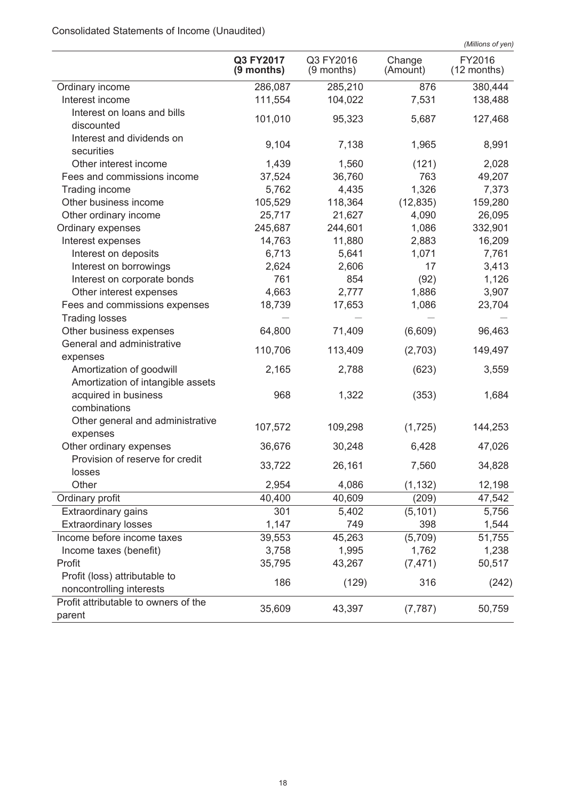# Consolidated Statements of Income (Unaudited)

|                                                           |                           |                           |                    | (Millions of yen)       |
|-----------------------------------------------------------|---------------------------|---------------------------|--------------------|-------------------------|
|                                                           | Q3 FY2017<br>$(9$ months) | Q3 FY2016<br>$(9$ months) | Change<br>(Amount) | FY2016<br>$(12$ months) |
| Ordinary income                                           | 286,087                   | 285,210                   | 876                | 380,444                 |
| Interest income                                           | 111,554                   | 104,022                   | 7,531              | 138,488                 |
| Interest on loans and bills<br>discounted                 | 101,010                   | 95,323                    | 5,687              | 127,468                 |
| Interest and dividends on<br>securities                   | 9,104                     | 7,138                     | 1,965              | 8,991                   |
| Other interest income                                     | 1,439                     | 1,560                     | (121)              | 2,028                   |
| Fees and commissions income                               | 37,524                    | 36,760                    | 763                | 49,207                  |
| Trading income                                            | 5,762                     | 4,435                     | 1,326              | 7,373                   |
| Other business income                                     | 105,529                   | 118,364                   | (12, 835)          | 159,280                 |
| Other ordinary income                                     | 25,717                    | 21,627                    | 4,090              | 26,095                  |
| Ordinary expenses                                         | 245,687                   | 244,601                   | 1,086              | 332,901                 |
| Interest expenses                                         | 14,763                    | 11,880                    | 2,883              | 16,209                  |
| Interest on deposits                                      | 6,713                     | 5,641                     | 1,071              | 7,761                   |
| Interest on borrowings                                    | 2,624                     | 2,606                     | 17                 | 3,413                   |
| Interest on corporate bonds                               | 761                       | 854                       | (92)               | 1,126                   |
| Other interest expenses                                   | 4,663                     | 2,777                     | 1,886              | 3,907                   |
| Fees and commissions expenses<br><b>Trading losses</b>    | 18,739                    | 17,653                    | 1,086              | 23,704                  |
| Other business expenses                                   | 64,800                    | 71,409                    | (6,609)            | 96,463                  |
| General and administrative                                |                           |                           |                    |                         |
| expenses                                                  | 110,706                   | 113,409                   | (2,703)            | 149,497                 |
| Amortization of goodwill                                  | 2,165                     | 2,788                     | (623)              | 3,559                   |
| Amortization of intangible assets                         |                           |                           |                    |                         |
| acquired in business<br>combinations                      | 968                       | 1,322                     | (353)              | 1,684                   |
| Other general and administrative<br>expenses              | 107,572                   | 109,298                   | (1,725)            | 144,253                 |
| Other ordinary expenses                                   | 36,676                    | 30,248                    | 6,428              | 47,026                  |
| Provision of reserve for credit<br>losses                 | 33,722                    | 26,161                    | 7,560              | 34,828                  |
| Other                                                     | 2,954                     | 4,086                     | (1, 132)           | 12,198                  |
| Ordinary profit                                           | 40,400                    | 40,609                    | (209)              | 47,542                  |
| Extraordinary gains                                       | 301                       | 5,402                     | (5, 101)           | 5,756                   |
| <b>Extraordinary losses</b>                               | 1,147                     | 749                       | 398                | 1,544                   |
| Income before income taxes                                | 39,553                    | 45,263                    | (5,709)            | 51,755                  |
| Income taxes (benefit)                                    | 3,758                     | 1,995                     | 1,762              | 1,238                   |
| Profit                                                    | 35,795                    | 43,267                    | (7, 471)           | 50,517                  |
| Profit (loss) attributable to<br>noncontrolling interests | 186                       | (129)                     | 316                | (242)                   |
| Profit attributable to owners of the<br>parent            | 35,609                    | 43,397                    | (7, 787)           | 50,759                  |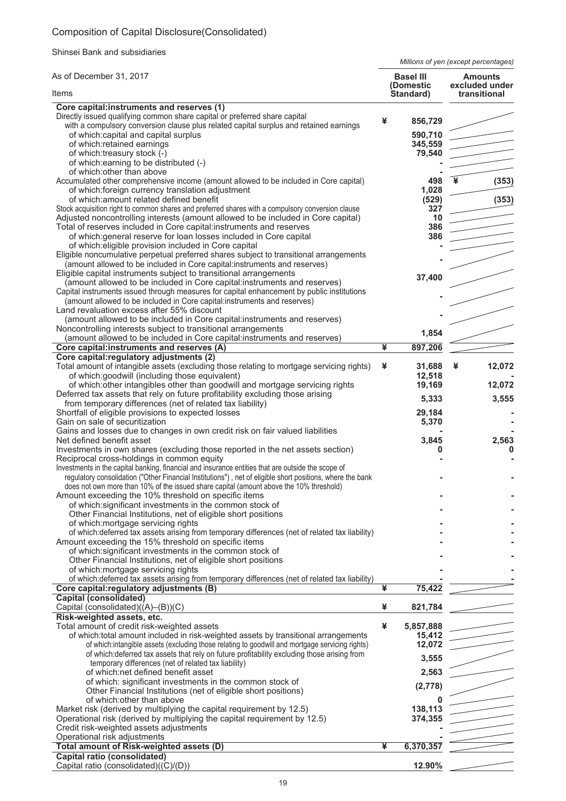# Composition of Capital Disclosure(Consolidated)

Shinsei Bank and subsidiaries

*Millions of yen (except percentages)*

| As of December 31, 2017                                                                                                                    |   | <b>Basel III</b><br>(Domestic | <b>Amounts</b><br>excluded under |  |
|--------------------------------------------------------------------------------------------------------------------------------------------|---|-------------------------------|----------------------------------|--|
| Items                                                                                                                                      |   | Standard)                     | transitional                     |  |
| Core capital:instruments and reserves (1)                                                                                                  |   |                               |                                  |  |
| Directly issued qualifying common share capital or preferred share capital                                                                 | ¥ | 856,729                       |                                  |  |
| with a compulsory conversion clause plus related capital surplus and retained earnings                                                     |   |                               |                                  |  |
| of which: capital and capital surplus<br>of which:retained earnings                                                                        |   | 590.710<br>345,559            |                                  |  |
| of which:treasury stock (-)                                                                                                                |   | 79,540                        |                                  |  |
| of which: earning to be distributed (-)                                                                                                    |   |                               |                                  |  |
| of which: other than above                                                                                                                 |   |                               |                                  |  |
| Accumulated other comprehensive income (amount allowed to be included in Core capital)                                                     |   | 498                           | (353)                            |  |
| of which: foreign currency translation adjustment                                                                                          |   | 1,028                         |                                  |  |
| of which: amount related defined benefit                                                                                                   |   | (529)                         | (353)                            |  |
| Stock acquisition right to common shares and preferred shares with a compulsory conversion clause                                          |   | 327                           |                                  |  |
| Adjusted noncontrolling interests (amount allowed to be included in Core capital)                                                          |   | 10<br>386                     |                                  |  |
| Total of reserves included in Core capital:instruments and reserves<br>of which: general reserve for loan losses included in Core capital  |   | 386                           |                                  |  |
| of which: eligible provision included in Core capital                                                                                      |   |                               |                                  |  |
| Eligible noncumulative perpetual preferred shares subject to transitional arrangements                                                     |   |                               |                                  |  |
| (amount allowed to be included in Core capital:instruments and reserves)                                                                   |   |                               |                                  |  |
| Eligible capital instruments subject to transitional arrangements                                                                          |   |                               |                                  |  |
| (amount allowed to be included in Core capital: instruments and reserves)                                                                  |   | 37,400                        |                                  |  |
| Capital instruments issued through measures for capital enhancement by public institutions                                                 |   |                               |                                  |  |
| (amount allowed to be included in Core capital: instruments and reserves)                                                                  |   |                               |                                  |  |
| Land revaluation excess after 55% discount                                                                                                 |   |                               |                                  |  |
| (amount allowed to be included in Core capital:instruments and reserves)                                                                   |   |                               |                                  |  |
| Noncontrolling interests subject to transitional arrangements<br>(amount allowed to be included in Core capital: instruments and reserves) |   | 1,854                         |                                  |  |
| Core capital:instruments and reserves (A)                                                                                                  | ¥ | 897,206                       |                                  |  |
| Core capital: regulatory adjustments (2)                                                                                                   |   |                               |                                  |  |
| Total amount of intangible assets (excluding those relating to mortgage servicing rights)                                                  | ¥ | 31,688                        | 12,072<br>¥                      |  |
| of which:goodwill (including those equivalent)                                                                                             |   | 12,518                        |                                  |  |
| of which: other intangibles other than goodwill and mortgage servicing rights                                                              |   | 19,169                        | 12,072                           |  |
| Deferred tax assets that rely on future profitability excluding those arising                                                              |   | 5,333                         | 3,555                            |  |
| from temporary differences (net of related tax liability)                                                                                  |   |                               |                                  |  |
| Shortfall of eligible provisions to expected losses<br>Gain on sale of securitization                                                      |   | 29,184<br>5,370               |                                  |  |
| Gains and losses due to changes in own credit risk on fair valued liabilities                                                              |   |                               |                                  |  |
| Net defined benefit asset                                                                                                                  |   | 3,845                         | 2,563                            |  |
| Investments in own shares (excluding those reported in the net assets section)                                                             |   |                               | 0                                |  |
| Reciprocal cross-holdings in common equity                                                                                                 |   |                               |                                  |  |
| Investments in the capital banking, financial and insurance entities that are outside the scope of                                         |   |                               |                                  |  |
| regulatory consolidation ("Other Financial Institutions"), net of eligible short positions, where the bank                                 |   |                               |                                  |  |
| does not own more than 10% of the issued share capital (amount above the 10% threshold)                                                    |   |                               |                                  |  |
| Amount exceeding the 10% threshold on specific items                                                                                       |   |                               |                                  |  |
| of which: significant investments in the common stock of<br>Other Financial Institutions, net of eligible short positions                  |   |                               |                                  |  |
| of which:mortgage servicing rights                                                                                                         |   |                               |                                  |  |
| of which: deferred tax assets arising from temporary differences (net of related tax liability)                                            |   |                               |                                  |  |
| Amount exceeding the 15% threshold on specific items                                                                                       |   |                               |                                  |  |
| of which: significant investments in the common stock of                                                                                   |   |                               |                                  |  |
| Other Financial Institutions, net of eligible short positions                                                                              |   |                               |                                  |  |
| of which: mortgage servicing rights                                                                                                        |   |                               |                                  |  |
| of which: deferred tax assets arising from temporary differences (net of related tax liability)                                            |   |                               |                                  |  |
| Core capital: regulatory adjustments (B)                                                                                                   | ¥ | 75,422                        |                                  |  |
| <b>Capital (consolidated)</b>                                                                                                              | ¥ |                               |                                  |  |
| Capital (consolidated)((A)–(B))(C)<br>Risk-weighted assets, etc.                                                                           |   | 821,784                       |                                  |  |
| Total amount of credit risk-weighted assets                                                                                                | ¥ | 5,857,888                     |                                  |  |
| of which: total amount included in risk-weighted assets by transitional arrangements                                                       |   | 15,412                        |                                  |  |
| of which:intangible assets (excluding those relating to goodwill and mortgage servicing rights)                                            |   | 12,072                        |                                  |  |
| of which: deferred tax assets that rely on future profitability excluding those arising from                                               |   | 3,555                         |                                  |  |
| temporary differences (net of related tax liability)                                                                                       |   |                               |                                  |  |
| of which:net defined benefit asset                                                                                                         |   | 2,563                         |                                  |  |
| of which: significant investments in the common stock of                                                                                   |   | (2,778)                       |                                  |  |
| Other Financial Institutions (net of eligible short positions)<br>of which: other than above                                               |   |                               |                                  |  |
| Market risk (derived by multiplying the capital requirement by 12.5)                                                                       |   | 138,113                       |                                  |  |
| Operational risk (derived by multiplying the capital requirement by 12.5)                                                                  |   | 374,355                       |                                  |  |
| Credit risk-weighted assets adjustments                                                                                                    |   |                               |                                  |  |
| Operational risk adjustments                                                                                                               |   |                               |                                  |  |
| Total amount of Risk-weighted assets (D)                                                                                                   | ¥ | 6,370,357                     |                                  |  |
| <b>Capital ratio (consolidated)</b>                                                                                                        |   |                               |                                  |  |
| Capital ratio (consolidated)((C)/(D))                                                                                                      |   | 12.90%                        |                                  |  |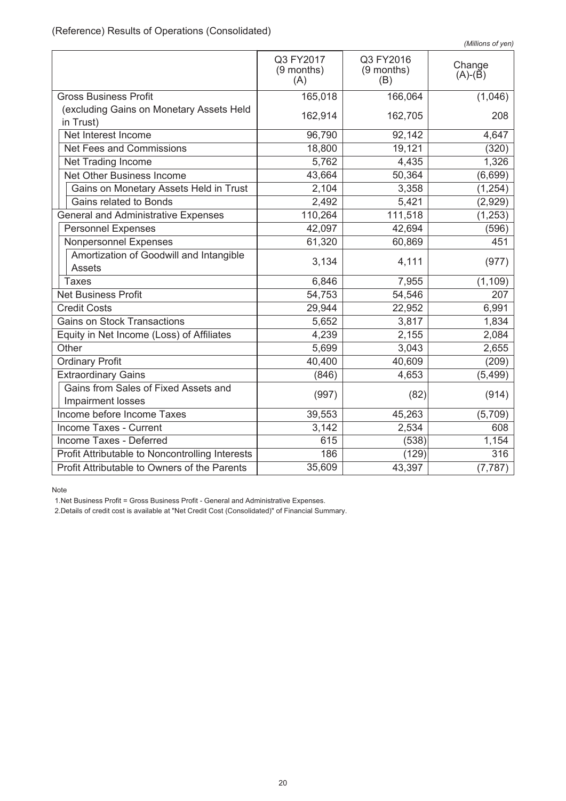|                                                           | Q3 FY2017<br>(9 months)<br>(A) | Q3 FY2016<br>(9 months)<br>(B) | Change<br>$(A)-(B)$ |
|-----------------------------------------------------------|--------------------------------|--------------------------------|---------------------|
| <b>Gross Business Profit</b>                              | 165,018                        | 166,064                        | (1,046)             |
| (excluding Gains on Monetary Assets Held<br>in Trust)     | 162,914                        | 162,705                        | 208                 |
| Net Interest Income                                       | 96,790                         | 92,142                         | 4,647               |
| Net Fees and Commissions                                  | 18,800                         | 19,121                         | (320)               |
| Net Trading Income                                        | 5,762                          | 4,435                          | 1,326               |
| Net Other Business Income                                 | 43,664                         | 50,364                         | (6,699)             |
| Gains on Monetary Assets Held in Trust                    | 2,104                          | 3,358                          | (1, 254)            |
| Gains related to Bonds                                    | 2,492                          | 5,421                          | (2,929)             |
| <b>General and Administrative Expenses</b>                | 110,264                        | 111,518                        | (1, 253)            |
| <b>Personnel Expenses</b>                                 | 42,097                         | 42,694                         | (596)               |
| Nonpersonnel Expenses                                     | 61,320                         | 60,869                         | 451                 |
| Amortization of Goodwill and Intangible<br><b>Assets</b>  | 3,134                          | 4,111                          | (977)               |
| <b>Taxes</b>                                              | 6,846                          | 7,955                          | (1, 109)            |
| <b>Net Business Profit</b>                                | 54,753                         | 54,546                         | 207                 |
| <b>Credit Costs</b>                                       | 29,944                         | 22,952                         | 6,991               |
| <b>Gains on Stock Transactions</b>                        | 5,652                          | 3,817                          | 1,834               |
| Equity in Net Income (Loss) of Affiliates                 | 4,239                          | 2,155                          | 2,084               |
| Other                                                     | 5,699                          | 3,043                          | 2,655               |
| <b>Ordinary Profit</b>                                    | 40,400                         | 40,609                         | (209)               |
| <b>Extraordinary Gains</b>                                | (846)                          | 4,653                          | (5, 499)            |
| Gains from Sales of Fixed Assets and<br>Impairment losses | (997)                          | (82)                           | (914)               |
| Income before Income Taxes                                | 39,553                         | 45,263                         | (5,709)             |
| Income Taxes - Current                                    | 3,142                          | 2,534                          | 608                 |
| Income Taxes - Deferred                                   | 615                            | (538)                          | 1,154               |
| Profit Attributable to Noncontrolling Interests           | 186                            | (129)                          | 316                 |
| Profit Attributable to Owners of the Parents              | 35,609                         | 43,397                         | (7, 787)            |

Note

1.Net Business Profit = Gross Business Profit - General and Administrative Expenses.

2.Details of credit cost is available at "Net Credit Cost (Consolidated)" of Financial Summary.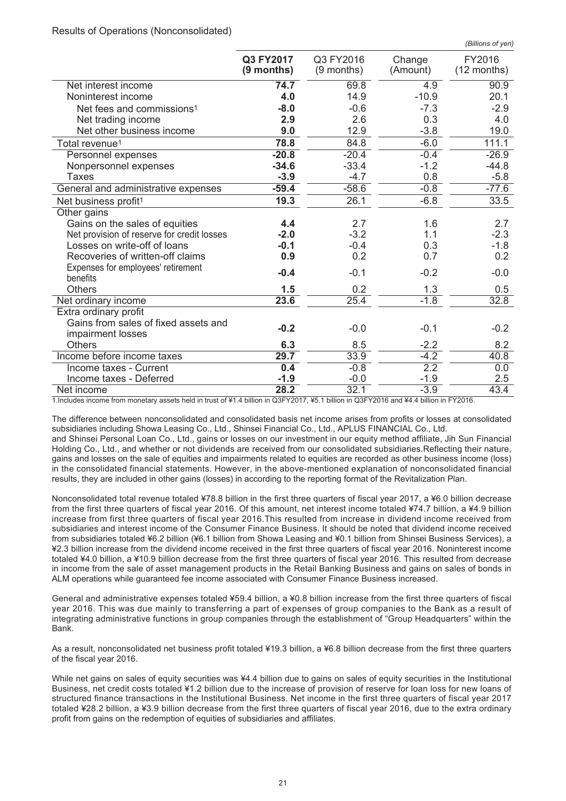|                                                           | Q3 FY2017<br>$(9$ months) | Q3 FY2016<br>$(9$ months) | Change<br>(Amount) | FY2016<br>$(12$ months) |
|-----------------------------------------------------------|---------------------------|---------------------------|--------------------|-------------------------|
| Net interest income                                       | 74.7                      | 69.8                      | 4.9                | 90.9                    |
| Noninterest income                                        | 4.0                       | 14.9                      | $-10.9$            | 20.1                    |
| Net fees and commissions <sup>1</sup>                     | $-8.0$                    | $-0.6$                    | $-7.3$             | $-2.9$                  |
| Net trading income                                        | 2.9                       | 2.6                       | 0.3                | 4.0                     |
| Net other business income                                 | 9.0                       | 12.9                      | $-3.8$             | 19.0                    |
| Total revenue <sup>1</sup>                                | 78.8                      | 84.8                      | $-6.0$             | 111.1                   |
| Personnel expenses                                        | $-20.8$                   | $-20.4$                   | $-0.4$             | $-26.9$                 |
| Nonpersonnel expenses                                     | $-34.6$                   | $-33.4$                   | $-1.2$             | $-44.8$                 |
| <b>Taxes</b>                                              | $-3.9$                    | $-4.7$                    | 0.8                | $-5.8$                  |
| General and administrative expenses                       | $-59.4$                   | $-58.6$                   | $-0.8$             | $-77.6$                 |
| Net business profit <sup>1</sup>                          | 19.3                      | 26.1                      | $-6.8$             | 33.5                    |
| Other gains                                               |                           |                           |                    |                         |
| Gains on the sales of equities                            | 4.4                       | 2.7                       | 1.6                | 2.7                     |
| Net provision of reserve for credit losses                | $-2.0$                    | $-3.2$                    | 1.1                | $-2.3$                  |
| Losses on write-off of loans                              | $-0.1$                    | $-0.4$                    | 0.3                | $-1.8$                  |
| Recoveries of written-off claims                          | 0.9                       | 0.2                       | 0.7                | 0.2                     |
| Expenses for employees' retirement<br>benefits            | $-0.4$                    | $-0.1$                    | $-0.2$             | $-0.0$                  |
| <b>Others</b>                                             | 1.5                       | 0.2                       | 1.3                | 0.5                     |
| Net ordinary income                                       | 23.6                      | 25.4                      | $-1.8$             | 32.8                    |
| Extra ordinary profit                                     |                           |                           |                    |                         |
| Gains from sales of fixed assets and<br>impairment losses | $-0.2$                    | $-0.0$                    | $-0.1$             | $-0.2$                  |
| <b>Others</b>                                             | 6.3                       | 8.5                       | $-2.2$             | 8.2                     |
| Income before income taxes                                | 29.7                      | 33.9                      | $-4.2$             | 40.8                    |
| Income taxes - Current                                    | 0.4                       | $-0.8$                    | $\overline{2.2}$   | 0.0                     |
| Income taxes - Deferred                                   | $-1.9$                    | $-0.0$                    | $-1.9$             | 2.5                     |
| Net income                                                | 28.2                      | 32.1                      | $-3.9$             | 43.4                    |

1.Includes income from monetary assets held in trust of ¥1.4 billion in Q3FY2017, ¥5.1 billion in Q3FY2016 and ¥4.4 billion in FY2016.

The difference between nonconsolidated and consolidated basis net income arises from profits or losses at consolidated subsidiaries including Showa Leasing Co., Ltd., Shinsei Financial Co., Ltd., APLUS FINANCIAL Co., Ltd.

and Shinsei Personal Loan Co., Ltd., gains or losses on our investment in our equity method affiliate, Jih Sun Financial Holding Co., Ltd., and whether or not dividends are received from our consolidated subsidiaries.Reflecting their nature, gains and losses on the sale of equities and impairments related to equities are recorded as other business income (loss) in the consolidated financial statements. However, in the above-mentioned explanation of nonconsolidated financial results, they are included in other gains (losses) in according to the reporting format of the Revitalization Plan.

Nonconsolidated total revenue totaled ¥78.8 billion in the first three quarters of fiscal year 2017, a ¥6.0 billion decrease from the first three quarters of fiscal year 2016. Of this amount, net interest income totaled ¥74.7 billion, a ¥4.9 billion increase from first three quarters of fiscal year 2016.This resulted from increase in dividend income received from subsidiaries and interest income of the Consumer Finance Business. It should be noted that dividend income received from subsidiaries totaled ¥6.2 billion (¥6.1 billion from Showa Leasing and ¥0.1 billion from Shinsei Business Services), a ¥2.3 billion increase from the dividend income received in the first three quarters of fiscal year 2016. Noninterest income totaled ¥4.0 billion, a ¥10.9 billion decrease from the first three quarters of fiscal year 2016. This resulted from decrease in income from the sale of asset management products in the Retail Banking Business and gains on sales of bonds in ALM operations while guaranteed fee income associated with Consumer Finance Business increased.

General and administrative expenses totaled ¥59.4 billion, a ¥0.8 billion increase from the first three quarters of fiscal year 2016. This was due mainly to transferring a part of expenses of group companies to the Bank as a result of integrating administrative functions in group companies through the establishment of "Group Headquarters" within the Bank.

As a result, nonconsolidated net business profit totaled ¥19.3 billion, a ¥6.8 billion decrease from the first three quarters of the fiscal year 2016.

While net gains on sales of equity securities was ¥4.4 billion due to gains on sales of equity securities in the Institutional Business, net credit costs totaled ¥1.2 billion due to the increase of provision of reserve for loan loss for new loans of structured finance transactions in the Institutional Business. Net income in the first three quarters of fiscal year 2017 totaled ¥28.2 billion, a ¥3.9 billion decrease from the first three quarters of fiscal year 2016, due to the extra ordinary profit from gains on the redemption of equities of subsidiaries and affiliates.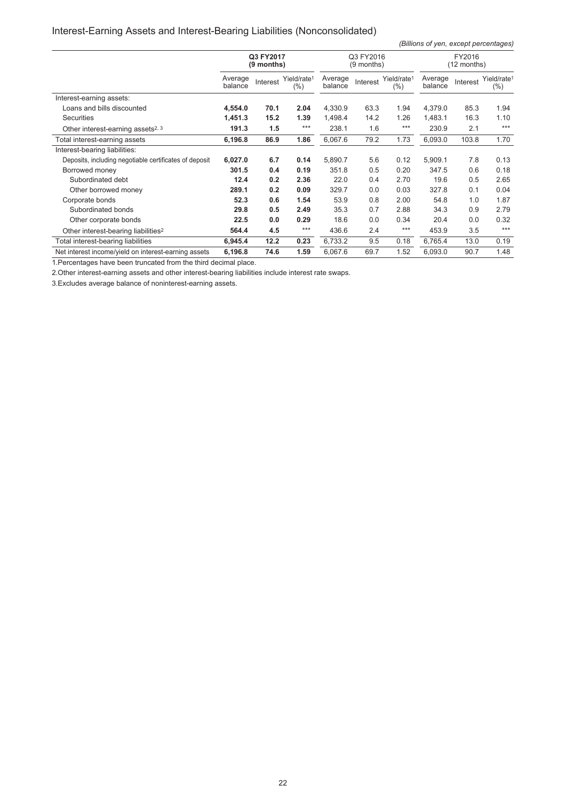# Interest-Earning Assets and Interest-Bearing Liabilities (Nonconsolidated)

*(Billions of yen, except percentages)*

|                                                        | Q3 FY2017<br>$(9$ months) |          | Q3 FY2016<br>(9 months)            |                    |          | FY2016<br>(12 months)          |                    |          |                                    |
|--------------------------------------------------------|---------------------------|----------|------------------------------------|--------------------|----------|--------------------------------|--------------------|----------|------------------------------------|
|                                                        | Average<br>balance        | Interest | Yield/rate <sup>1</sup><br>$(\% )$ | Average<br>balance | Interest | Yield/rate <sup>1</sup><br>(%) | Average<br>balance | Interest | Yield/rate <sup>1</sup><br>$(\% )$ |
| Interest-earning assets:                               |                           |          |                                    |                    |          |                                |                    |          |                                    |
| Loans and bills discounted                             | 4,554.0                   | 70.1     | 2.04                               | 4,330.9            | 63.3     | 1.94                           | 4,379.0            | 85.3     | 1.94                               |
| <b>Securities</b>                                      | 1,451.3                   | 15.2     | 1.39                               | 1,498.4            | 14.2     | 1.26                           | 1,483.1            | 16.3     | 1.10                               |
| Other interest-earning assets <sup>2, 3</sup>          | 191.3                     | 1.5      | $***$                              | 238.1              | 1.6      | $***$                          | 230.9              | 2.1      | $***$                              |
| Total interest-earning assets                          | 6,196.8                   | 86.9     | 1.86                               | 6,067.6            | 79.2     | 1.73                           | 6,093.0            | 103.8    | 1.70                               |
| Interest-bearing liabilities:                          |                           |          |                                    |                    |          |                                |                    |          |                                    |
| Deposits, including negotiable certificates of deposit | 6,027.0                   | 6.7      | 0.14                               | 5,890.7            | 5.6      | 0.12                           | 5,909.1            | 7.8      | 0.13                               |
| Borrowed money                                         | 301.5                     | 0.4      | 0.19                               | 351.8              | 0.5      | 0.20                           | 347.5              | 0.6      | 0.18                               |
| Subordinated debt                                      | 12.4                      | 0.2      | 2.36                               | 22.0               | 0.4      | 2.70                           | 19.6               | 0.5      | 2.65                               |
| Other borrowed money                                   | 289.1                     | 0.2      | 0.09                               | 329.7              | 0.0      | 0.03                           | 327.8              | 0.1      | 0.04                               |
| Corporate bonds                                        | 52.3                      | 0.6      | 1.54                               | 53.9               | 0.8      | 2.00                           | 54.8               | 1.0      | 1.87                               |
| Subordinated bonds                                     | 29.8                      | 0.5      | 2.49                               | 35.3               | 0.7      | 2.88                           | 34.3               | 0.9      | 2.79                               |
| Other corporate bonds                                  | 22.5                      | 0.0      | 0.29                               | 18.6               | 0.0      | 0.34                           | 20.4               | 0.0      | 0.32                               |
| Other interest-bearing liabilities <sup>2</sup>        | 564.4                     | 4.5      | $***$                              | 436.6              | 2.4      | $***$                          | 453.9              | 3.5      | $***$                              |
| Total interest-bearing liabilities                     | 6,945.4                   | 12.2     | 0.23                               | 6,733.2            | 9.5      | 0.18                           | 6,765.4            | 13.0     | 0.19                               |
| Net interest income/vield on interest-earning assets   | 6,196.8                   | 74.6     | 1.59                               | 6,067.6            | 69.7     | 1.52                           | 6,093.0            | 90.7     | 1.48                               |

1.Percentages have been truncated from the third decimal place.

2.Other interest-earning assets and other interest-bearing liabilities include interest rate swaps.

3.Excludes average balance of noninterest-earning assets.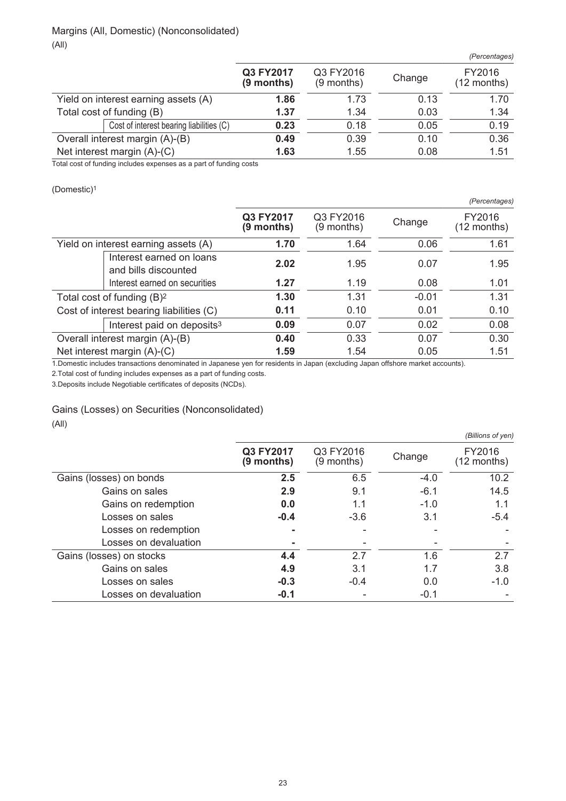|                               |                                          |                           |                           |        | (Percentages)           |
|-------------------------------|------------------------------------------|---------------------------|---------------------------|--------|-------------------------|
|                               |                                          | Q3 FY2017<br>$(9$ months) | Q3 FY2016<br>$(9$ months) | Change | FY2016<br>$(12$ months) |
|                               | Yield on interest earning assets (A)     | 1.86                      | 1.73                      | 0.13   | 1.70                    |
|                               | Total cost of funding (B)                | 1.37                      | 1.34                      | 0.03   | 1.34                    |
|                               | Cost of interest bearing liabilities (C) | 0.23                      | 0.18                      | 0.05   | 0.19                    |
|                               | Overall interest margin (A)-(B)          | 0.49                      | 0.39                      | 0.10   | 0.36                    |
| Net interest margin $(A)-(C)$ |                                          | 1.63                      | 1.55                      | 0.08   | 1.51                    |

Total cost of funding includes expenses as a part of funding costs

(Domestic)<sup>1</sup>

|                                      |                                                  |                         |                         |         | (Percentages)           |
|--------------------------------------|--------------------------------------------------|-------------------------|-------------------------|---------|-------------------------|
|                                      |                                                  | Q3 FY2017<br>(9 months) | Q3 FY2016<br>(9 months) | Change  | FY2016<br>$(12$ months) |
| Yield on interest earning assets (A) |                                                  | 1.70                    | 1.64                    | 0.06    | 1.61                    |
|                                      | Interest earned on loans<br>and bills discounted | 2.02                    | 1.95                    | 0.07    | 1.95                    |
|                                      | Interest earned on securities                    | 1.27                    | 1.19                    | 0.08    | 1.01                    |
|                                      | Total cost of funding $(B)^2$                    | 1.30                    | 1.31                    | $-0.01$ | 1.31                    |
|                                      | Cost of interest bearing liabilities (C)         | 0.11                    | 0.10                    | 0.01    | 0.10                    |
|                                      | Interest paid on deposits <sup>3</sup>           | 0.09                    | 0.07                    | 0.02    | 0.08                    |
|                                      | Overall interest margin (A)-(B)                  | 0.40                    | 0.33                    | 0.07    | 0.30                    |
|                                      | Net interest margin (A)-(C)                      | 1.59                    | 1.54                    | 0.05    | 1.51                    |

1.Domestic includes transactions denominated in Japanese yen for residents in Japan (excluding Japan offshore market accounts).

2.Total cost of funding includes expenses as a part of funding costs.

3.Deposits include Negotiable certificates of deposits (NCDs).

Gains (Losses) on Securities (Nonconsolidated)

(All)

|                          |                         |                           |        | (Billions of yen)       |
|--------------------------|-------------------------|---------------------------|--------|-------------------------|
|                          | Q3 FY2017<br>(9 months) | Q3 FY2016<br>$(9$ months) | Change | FY2016<br>$(12$ months) |
| Gains (losses) on bonds  | 2.5                     | 6.5                       | $-4.0$ | 10.2                    |
| Gains on sales           | 2.9                     | 9.1                       | $-6.1$ | 14.5                    |
| Gains on redemption      | 0.0                     | 1.1                       | $-1.0$ | 1.1                     |
| Losses on sales          | $-0.4$                  | $-3.6$                    | 3.1    | $-5.4$                  |
| Losses on redemption     |                         |                           |        |                         |
| Losses on devaluation    |                         |                           |        |                         |
| Gains (losses) on stocks | 4.4                     | 2.7                       | 1.6    | 2.7                     |
| Gains on sales           | 4.9                     | 3.1                       | 1.7    | 3.8                     |
| Losses on sales          | $-0.3$                  | $-0.4$                    | 0.0    | $-1.0$                  |
| Losses on devaluation    | $-0.1$                  |                           | $-0.1$ |                         |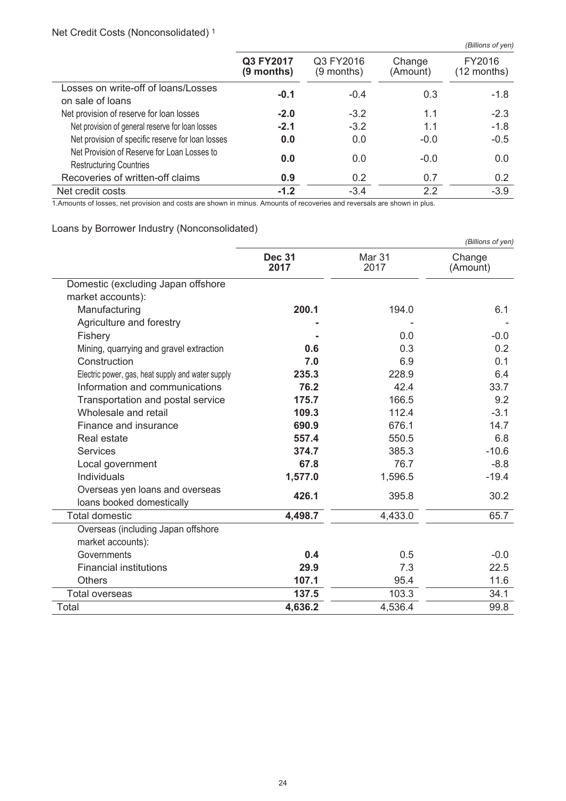# Net Credit Costs (Nonconsolidated) <sup>1</sup>

|                                                                               |                           |                         |                    | (Billions of yen)     |
|-------------------------------------------------------------------------------|---------------------------|-------------------------|--------------------|-----------------------|
|                                                                               | Q3 FY2017<br>$(9$ months) | Q3 FY2016<br>(9 months) | Change<br>(Amount) | FY2016<br>(12 months) |
| Losses on write-off of loans/Losses<br>on sale of loans                       | $-0.1$                    | $-0.4$                  | 0.3                | $-1.8$                |
| Net provision of reserve for loan losses                                      | $-2.0$                    | $-3.2$                  | 1.1                | $-2.3$                |
| Net provision of general reserve for loan losses                              | $-2.1$                    | $-3.2$                  | 1.1                | $-1.8$                |
| Net provision of specific reserve for loan losses                             | 0.0                       | 0.0                     | $-0.0$             | $-0.5$                |
| Net Provision of Reserve for Loan Losses to<br><b>Restructuring Countries</b> | 0.0                       | 0.0                     | $-0.0$             | 0.0                   |
| Recoveries of written-off claims                                              | 0.9                       | 0.2                     | 0.7                | 0.2                   |
| Net credit costs                                                              | $-1.2$                    | $-3.4$                  | 2.2                | $-3.9$                |

1.Amounts of losses, net provision and costs are shown in minus. Amounts of recoveries and reversals are shown in plus.

# Loans by Borrower Industry (Nonconsolidated)

|                                                              | (Billions of yen)     |                |                    |  |  |  |
|--------------------------------------------------------------|-----------------------|----------------|--------------------|--|--|--|
|                                                              | <b>Dec 31</b><br>2017 | Mar 31<br>2017 | Change<br>(Amount) |  |  |  |
| Domestic (excluding Japan offshore                           |                       |                |                    |  |  |  |
| market accounts):                                            |                       |                |                    |  |  |  |
| Manufacturing                                                | 200.1                 | 194.0          | 6.1                |  |  |  |
| Agriculture and forestry                                     |                       |                |                    |  |  |  |
| Fishery                                                      |                       | 0.0            | $-0.0$             |  |  |  |
| Mining, quarrying and gravel extraction                      | 0.6                   | 0.3            | 0.2                |  |  |  |
| Construction                                                 | 7.0                   | 6.9            | 0.1                |  |  |  |
| Electric power, gas, heat supply and water supply            | 235.3                 | 228.9          | 6.4                |  |  |  |
| Information and communications                               | 76.2                  | 42.4           | 33.7               |  |  |  |
| Transportation and postal service                            | 175.7                 | 166.5          | 9.2                |  |  |  |
| Wholesale and retail                                         | 109.3                 | 112.4          | $-3.1$             |  |  |  |
| Finance and insurance                                        | 690.9                 | 676.1          | 14.7               |  |  |  |
| Real estate                                                  | 557.4                 | 550.5          | 6.8                |  |  |  |
| Services                                                     | 374.7                 | 385.3          | $-10.6$            |  |  |  |
| Local government                                             | 67.8                  | 76.7           | $-8.8$             |  |  |  |
| Individuals                                                  | 1,577.0               | 1,596.5        | $-19.4$            |  |  |  |
| Overseas yen loans and overseas<br>loans booked domestically | 426.1                 | 395.8          | 30.2               |  |  |  |
| <b>Total domestic</b>                                        | 4,498.7               | 4,433.0        | 65.7               |  |  |  |
| Overseas (including Japan offshore                           |                       |                |                    |  |  |  |
| market accounts):                                            |                       |                |                    |  |  |  |
| Governments                                                  | 0.4                   | 0.5            | $-0.0$             |  |  |  |
| <b>Financial institutions</b>                                | 29.9                  | 7.3            | 22.5               |  |  |  |
| <b>Others</b>                                                | 107.1                 | 95.4           | 11.6               |  |  |  |
| <b>Total overseas</b>                                        | 137.5                 | 103.3          | 34.1               |  |  |  |
| Total                                                        | 4,636.2               | 4,536.4        | 99.8               |  |  |  |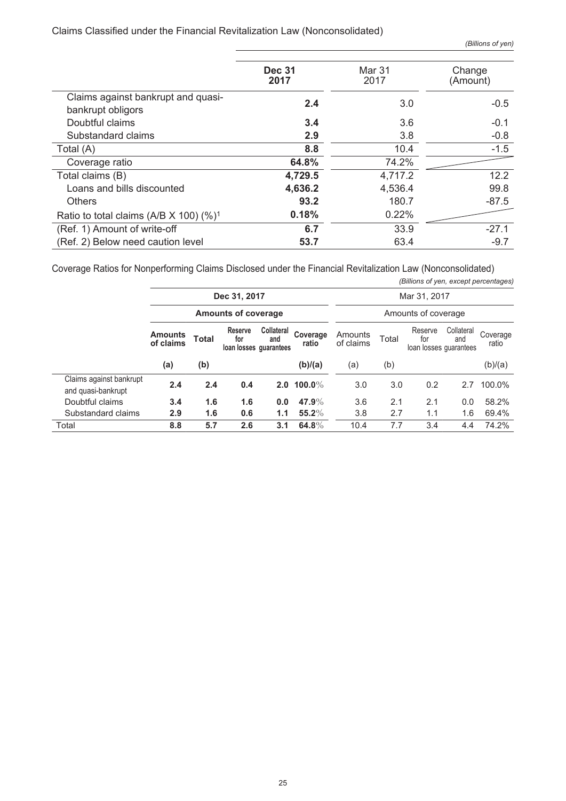#### Claims Classified under the Financial Revitalization Law (Nonconsolidated)

|                                                           | <b>Dec 31</b><br>2017 | Mar 31<br>2017 | Change<br>(Amount) |
|-----------------------------------------------------------|-----------------------|----------------|--------------------|
| Claims against bankrupt and quasi-<br>bankrupt obligors   | 2.4                   | 3.0            | $-0.5$             |
| Doubtful claims                                           | 3.4                   | 3.6            | $-0.1$             |
| Substandard claims                                        | 2.9                   | 3.8            | $-0.8$             |
| Total (A)                                                 | 8.8                   | 10.4           | $-1.5$             |
| Coverage ratio                                            | 64.8%                 | 74.2%          |                    |
| Total claims (B)                                          | 4,729.5               | 4,717.2        | 12.2               |
| Loans and bills discounted                                | 4,636.2               | 4,536.4        | 99.8               |
| <b>Others</b>                                             | 93.2                  | 180.7          | $-87.5$            |
| Ratio to total claims (A/B $\times$ 100) (%) <sup>1</sup> | 0.18%                 | 0.22%          |                    |
| (Ref. 1) Amount of write-off                              | 6.7                   | 33.9           | $-27.1$            |
| (Ref. 2) Below need caution level                         | 53.7                  | 63.4           | $-9.7$             |

Coverage Ratios for Nonperforming Claims Disclosed under the Financial Revitalization Law (Nonconsolidated)

|                                               |                             |                            |                                                 |                   |                   |                      |              | (Billions of yen, except percentages)    |                   |                   |
|-----------------------------------------------|-----------------------------|----------------------------|-------------------------------------------------|-------------------|-------------------|----------------------|--------------|------------------------------------------|-------------------|-------------------|
|                                               | Dec 31, 2017                |                            |                                                 |                   |                   |                      | Mar 31, 2017 |                                          |                   |                   |
|                                               |                             | <b>Amounts of coverage</b> |                                                 |                   |                   |                      |              | Amounts of coverage                      |                   |                   |
|                                               | <b>Amounts</b><br>of claims | <b>Total</b>               | <b>Reserve</b><br>for<br>loan losses quarantees | Collateral<br>and | Coverage<br>ratio | Amounts<br>of claims | Total        | Reserve<br>for<br>loan losses quarantees | Collateral<br>and | Coverage<br>ratio |
|                                               | (a)                         | (b)                        |                                                 |                   | (b)/(a)           | (a)                  | (b)          |                                          |                   | (b)/(a)           |
| Claims against bankrupt<br>and quasi-bankrupt | 2.4                         | 2.4                        | 0.4                                             |                   | 2.0 100.0%        | 3.0                  | 3.0          | 0.2                                      | 2.7               | 100.0%            |
| Doubtful claims                               | 3.4                         | 1.6                        | 1.6                                             | 0.0               | 47.9%             | 3.6                  | 2.1          | 2.1                                      | 0.0               | 58.2%             |
| Substandard claims                            | 2.9                         | 1.6                        | 0.6                                             | 1.1               | $55.2\%$          | 3.8                  | 2.7          | 1.1                                      | 1.6               | 69.4%             |
| Total                                         | 8.8                         | 5.7                        | 2.6                                             | 3.1               | 64.8%             | 10.4                 | 7.7          | 3.4                                      | 4.4               | 74.2%             |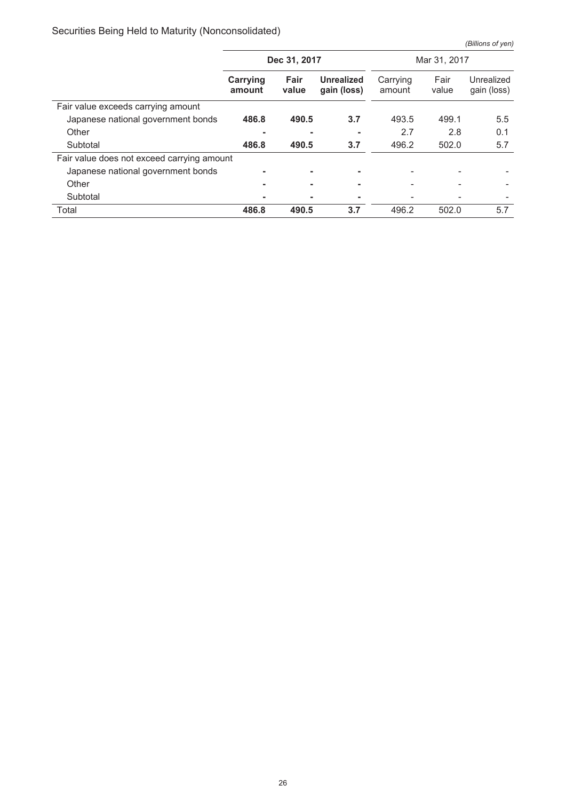# Securities Being Held to Maturity (Nonconsolidated)

*(Billions of yen)*

|                                            | Dec 31, 2017       |               |                                  | Mar 31, 2017       |               |                           |
|--------------------------------------------|--------------------|---------------|----------------------------------|--------------------|---------------|---------------------------|
|                                            | Carrying<br>amount | Fair<br>value | <b>Unrealized</b><br>gain (loss) | Carrying<br>amount | Fair<br>value | Unrealized<br>gain (loss) |
| Fair value exceeds carrying amount         |                    |               |                                  |                    |               |                           |
| Japanese national government bonds         | 486.8              | 490.5         | 3.7                              | 493.5              | 499.1         | 5.5                       |
| Other                                      |                    |               |                                  | 2.7                | 2.8           | 0.1                       |
| Subtotal                                   | 486.8              | 490.5         | 3.7                              | 496.2              | 502.0         | 5.7                       |
| Fair value does not exceed carrying amount |                    |               |                                  |                    |               |                           |
| Japanese national government bonds         |                    |               | ۰                                |                    |               |                           |
| Other                                      |                    |               |                                  |                    |               |                           |
| Subtotal                                   |                    |               |                                  |                    |               |                           |
| Total                                      | 486.8              | 490.5         | 3.7                              | 496.2              | 502.0         | 5.7                       |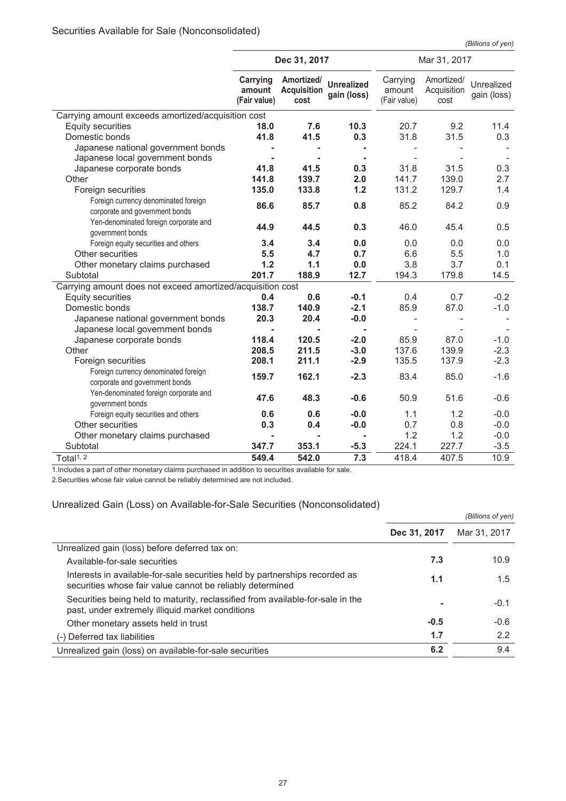*(Billions of yen)*

|                                                                        | Dec 31, 2017                       |                                          |                                  | Mar 31, 2017                       |                                   |                           |
|------------------------------------------------------------------------|------------------------------------|------------------------------------------|----------------------------------|------------------------------------|-----------------------------------|---------------------------|
|                                                                        | Carrying<br>amount<br>(Fair value) | Amortized/<br><b>Acquisition</b><br>cost | <b>Unrealized</b><br>gain (loss) | Carrying<br>amount<br>(Fair value) | Amortized/<br>Acquisition<br>cost | Unrealized<br>gain (loss) |
| Carrying amount exceeds amortized/acquisition cost                     |                                    |                                          |                                  |                                    |                                   |                           |
| Equity securities                                                      | 18.0                               | 7.6                                      | 10.3                             | 20.7                               | 9.2                               | 11.4                      |
| Domestic bonds                                                         | 41.8                               | 41.5                                     | 0.3                              | 31.8                               | 31.5                              | 0.3                       |
| Japanese national government bonds                                     |                                    |                                          |                                  |                                    |                                   |                           |
| Japanese local government bonds                                        |                                    |                                          |                                  |                                    |                                   |                           |
| Japanese corporate bonds                                               | 41.8                               | 41.5                                     | 0.3                              | 31.8                               | 31.5                              | 0.3                       |
| Other                                                                  | 141.8                              | 139.7                                    | 2.0                              | 141.7                              | 139.0                             | 2.7                       |
| Foreign securities                                                     | 135.0                              | 133.8                                    | $1.2$                            | 131.2                              | 129.7                             | 1.4                       |
| Foreign currency denominated foreign<br>corporate and government bonds | 86.6                               | 85.7                                     | 0.8                              | 85.2                               | 84.2                              | 0.9                       |
| Yen-denominated foreign corporate and<br>government bonds              | 44.9                               | 44.5                                     | 0.3                              | 46.0                               | 45.4                              | 0.5                       |
| Foreign equity securities and others                                   | 3.4                                | 3.4                                      | 0.0                              | 0.0                                | 0.0                               | 0.0                       |
| Other securities                                                       | 5.5                                | 4.7                                      | 0.7                              | 6.6                                | 5.5                               | 1.0                       |
| Other monetary claims purchased                                        | 1.2                                | 1.1                                      | 0.0                              | 3.8                                | 3.7                               | 0.1                       |
| Subtotal                                                               | 201.7                              | 188.9                                    | 12.7                             | 194.3                              | 179.8                             | 14.5                      |
| Carrying amount does not exceed amortized/acquisition cost             |                                    |                                          |                                  |                                    |                                   |                           |
| <b>Equity securities</b>                                               | 0.4                                | 0.6                                      | $-0.1$                           | 0.4                                | 0.7                               | $-0.2$                    |
| Domestic bonds                                                         | 138.7                              | 140.9                                    | $-2.1$                           | 85.9                               | 87.0                              | $-1.0$                    |
| Japanese national government bonds                                     | 20.3                               | 20.4                                     | $-0.0$                           | $\overline{\phantom{a}}$           |                                   |                           |
| Japanese local government bonds                                        |                                    |                                          | $\blacksquare$                   |                                    |                                   |                           |
| Japanese corporate bonds                                               | 118.4                              | 120.5                                    | $-2.0$                           | 85.9                               | 87.0                              | $-1.0$                    |
| Other                                                                  | 208.5                              | 211.5                                    | $-3.0$                           | 137.6                              | 139.9                             | $-2.3$                    |
| Foreign securities                                                     | 208.1                              | 211.1                                    | $-2.9$                           | 135.5                              | 137.9                             | $-2.3$                    |
| Foreign currency denominated foreign<br>corporate and government bonds | 159.7                              | 162.1                                    | $-2.3$                           | 83.4                               | 85.0                              | $-1.6$                    |
| Yen-denominated foreign corporate and<br>government bonds              | 47.6                               | 48.3                                     | $-0.6$                           | 50.9                               | 51.6                              | $-0.6$                    |
| Foreign equity securities and others                                   | 0.6                                | 0.6                                      | $-0.0$                           | 1.1                                | 1.2                               | $-0.0$                    |
| Other securities                                                       | 0.3                                | 0.4                                      | $-0.0$                           | 0.7                                | 0.8                               | $-0.0$                    |
| Other monetary claims purchased                                        |                                    |                                          |                                  | 1.2                                | 1.2                               | $-0.0$                    |
| Subtotal                                                               | 347.7                              | 353.1                                    | $-5.3$                           | 224.1                              | 227.7                             | $-3.5$                    |
| Total <sup>1, 2</sup>                                                  | 549.4                              | 542.0                                    | 7.3                              | 418.4                              | 407.5                             | 10.9                      |

1.Includes a part of other monetary claims purchased in addition to securities available for sale.

2.Securities whose fair value cannot be reliably determined are not included.

#### Unrealized Gain (Loss) on Available-for-Sale Securities (Nonconsolidated)

|                                                                                                                                          |              | (Billions of yen) |
|------------------------------------------------------------------------------------------------------------------------------------------|--------------|-------------------|
|                                                                                                                                          | Dec 31, 2017 | Mar 31, 2017      |
| Unrealized gain (loss) before deferred tax on:                                                                                           |              |                   |
| Available-for-sale securities                                                                                                            | 7.3          | 10.9              |
| Interests in available-for-sale securities held by partnerships recorded as<br>securities whose fair value cannot be reliably determined | 1.1          | 1.5               |
| Securities being held to maturity, reclassified from available-for-sale in the<br>past, under extremely illiquid market conditions       |              | $-0.1$            |
| Other monetary assets held in trust                                                                                                      | $-0.5$       | $-0.6$            |
| (-) Deferred tax liabilities                                                                                                             | 1.7          | 2.2               |
| Unrealized gain (loss) on available-for-sale securities                                                                                  | 6.2          | 9.4               |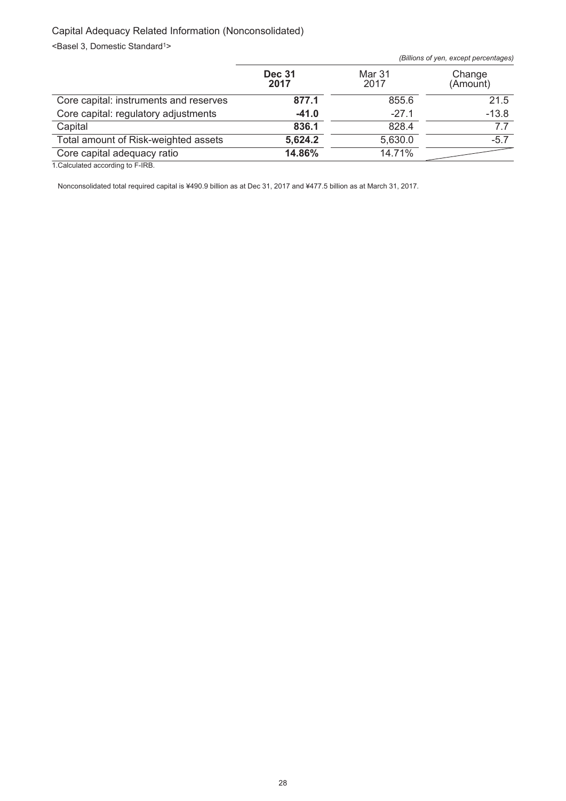# Capital Adequacy Related Information (Nonconsolidated)

<Basel 3, Domestic Standard<sup>1></sup>

|                                        |                       |                | (Billions of yen, except percentages) |
|----------------------------------------|-----------------------|----------------|---------------------------------------|
|                                        | <b>Dec 31</b><br>2017 | Mar 31<br>2017 | Change<br>(Amount)                    |
| Core capital: instruments and reserves | 877.1                 | 855.6          | 21.5                                  |
| Core capital: regulatory adjustments   | $-41.0$               | $-27.1$        | $-13.8$                               |
| Capital                                | 836.1                 | 828.4          | 7.7                                   |
| Total amount of Risk-weighted assets   | 5,624.2               | 5,630.0        | $-5.7$                                |
| Core capital adequacy ratio            | 14.86%                | 14.71%         |                                       |
|                                        |                       |                |                                       |

1.Calculated according to F-IRB.

Nonconsolidated total required capital is ¥490.9 billion as at Dec 31, 2017 and ¥477.5 billion as at March 31, 2017.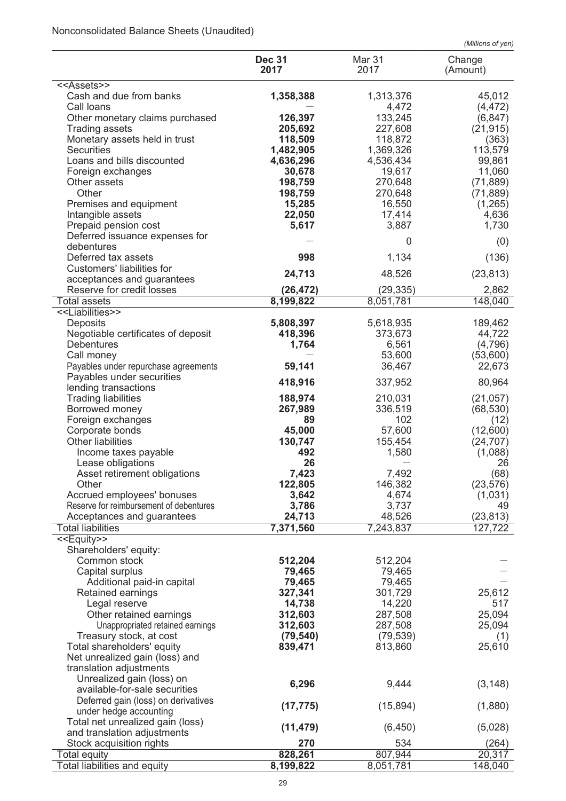# Nonconsolidated Balance Sheets (Unaudited)

|                                                            |                       |                      | (Millions of yen)  |
|------------------------------------------------------------|-----------------------|----------------------|--------------------|
|                                                            | <b>Dec 31</b><br>2017 | Mar 31<br>2017       | Change<br>(Amount) |
| < <assets>&gt;</assets>                                    |                       |                      |                    |
| Cash and due from banks                                    | 1,358,388             | 1,313,376            | 45,012             |
| Call loans                                                 |                       | 4,472                | (4, 472)           |
| Other monetary claims purchased                            | 126,397               | 133,245              | (6, 847)           |
| <b>Trading assets</b>                                      | 205,692               | 227,608              | (21, 915)          |
| Monetary assets held in trust<br><b>Securities</b>         | 118,509<br>1,482,905  | 118,872<br>1,369,326 | (363)<br>113,579   |
| Loans and bills discounted                                 | 4,636,296             | 4,536,434            | 99,861             |
| Foreign exchanges                                          | 30,678                | 19,617               | 11,060             |
| Other assets                                               | 198,759               | 270,648              | (71, 889)          |
| Other                                                      | 198,759               | 270,648              | (71, 889)          |
| Premises and equipment                                     | 15,285                | 16,550               | (1,265)            |
| Intangible assets                                          | 22,050                | 17,414               | 4,636              |
| Prepaid pension cost                                       | 5,617                 | 3,887                | 1,730              |
| Deferred issuance expenses for                             |                       | 0                    | (0)                |
| debentures                                                 |                       |                      |                    |
| Deferred tax assets                                        | 998                   | 1,134                | (136)              |
| Customers' liabilities for<br>acceptances and guarantees   | 24,713                | 48,526               | (23, 813)          |
| Reserve for credit losses                                  | (26, 472)             | (29, 335)            | 2,862              |
| <b>Total assets</b>                                        | 8,199,822             | 8,051,781            | 148,040            |
| < <liabilities>&gt;</liabilities>                          |                       |                      |                    |
| Deposits                                                   | 5,808,397             | 5,618,935            | 189,462            |
| Negotiable certificates of deposit                         | 418,396               | 373,673              | 44,722             |
| <b>Debentures</b>                                          | 1,764                 | 6,561                | (4,796)            |
| Call money                                                 |                       | 53,600               | (53,600)           |
| Payables under repurchase agreements                       | 59,141                | 36,467               | 22,673             |
| Payables under securities                                  | 418,916               | 337,952              | 80,964             |
| lending transactions                                       |                       |                      |                    |
| <b>Trading liabilities</b>                                 | 188,974               | 210,031              | (21, 057)          |
| Borrowed money                                             | 267,989<br>89         | 336,519<br>102       | (68, 530)          |
| Foreign exchanges<br>Corporate bonds                       | 45,000                | 57,600               | (12)<br>(12,600)   |
| Other liabilities                                          | 130,747               | 155,454              | (24, 707)          |
| Income taxes payable                                       | 492                   | 1,580                | (1,088)            |
| Lease obligations                                          | 26                    |                      | 26                 |
| Asset retirement obligations                               | 7,423                 | 7,492                | (68)               |
| Other                                                      | 122,805               | 146,382              | (23, 576)          |
| Accrued employees' bonuses                                 | 3,642                 | 4,674                | (1,031)            |
| Reserve for reimbursement of debentures                    | 3,786                 | 3,737                | 49                 |
| Acceptances and guarantees                                 | 24,713                | 48,526               | (23, 813)          |
| <b>Total liabilities</b>                                   | 7,371,560             | 7,243,837            | 127,722            |
| < <equity>&gt;</equity>                                    |                       |                      |                    |
| Shareholders' equity:<br>Common stock                      | 512,204               | 512,204              |                    |
| Capital surplus                                            | 79,465                | 79,465               |                    |
| Additional paid-in capital                                 | 79,465                | 79,465               |                    |
| Retained earnings                                          | 327,341               | 301,729              | 25,612             |
| Legal reserve                                              | 14,738                | 14,220               | 517                |
| Other retained earnings                                    | 312,603               | 287,508              | 25,094             |
| Unappropriated retained earnings                           | 312,603               | 287,508              | 25,094             |
| Treasury stock, at cost                                    | (79, 540)             | (79, 539)            | (1)                |
| Total shareholders' equity                                 | 839,471               | 813,860              | 25,610             |
| Net unrealized gain (loss) and                             |                       |                      |                    |
| translation adjustments                                    |                       |                      |                    |
| Unrealized gain (loss) on<br>available-for-sale securities | 6,296                 | 9,444                | (3, 148)           |
| Deferred gain (loss) on derivatives                        |                       |                      |                    |
| under hedge accounting                                     | (17, 775)             | (15, 894)            | (1,880)            |
| Total net unrealized gain (loss)                           |                       |                      |                    |
| and translation adjustments                                | (11, 479)             | (6, 450)             | (5,028)            |
| Stock acquisition rights                                   | 270                   | 534                  | (264)              |
| <b>Total equity</b>                                        | 828,261               | 807,944              | 20,317             |
| Total liabilities and equity                               | 8,199,822             | 8,051,781            | 148,040            |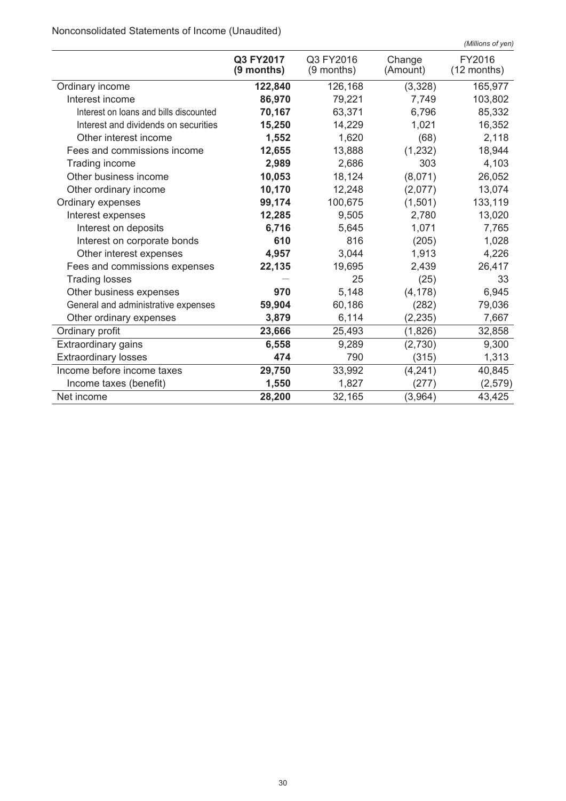Nonconsolidated Statements of Income (Unaudited)

|                                        |                           |                           |                    | (Millions of yen)     |
|----------------------------------------|---------------------------|---------------------------|--------------------|-----------------------|
|                                        | Q3 FY2017<br>$(9$ months) | Q3 FY2016<br>$(9$ months) | Change<br>(Amount) | FY2016<br>(12 months) |
| Ordinary income                        | 122,840                   | 126,168                   | (3,328)            | 165,977               |
| Interest income                        | 86,970                    | 79,221                    | 7,749              | 103,802               |
| Interest on loans and bills discounted | 70,167                    | 63,371                    | 6,796              | 85,332                |
| Interest and dividends on securities   | 15,250                    | 14,229                    | 1,021              | 16,352                |
| Other interest income                  | 1,552                     | 1,620                     | (68)               | 2,118                 |
| Fees and commissions income            | 12,655                    | 13,888                    | (1, 232)           | 18,944                |
| Trading income                         | 2,989                     | 2,686                     | 303                | 4,103                 |
| Other business income                  | 10,053                    | 18,124                    | (8,071)            | 26,052                |
| Other ordinary income                  | 10,170                    | 12,248                    | (2,077)            | 13,074                |
| Ordinary expenses                      | 99,174                    | 100,675                   | (1,501)            | 133,119               |
| Interest expenses                      | 12,285                    | 9,505                     | 2,780              | 13,020                |
| Interest on deposits                   | 6,716                     | 5,645                     | 1,071              | 7,765                 |
| Interest on corporate bonds            | 610                       | 816                       | (205)              | 1,028                 |
| Other interest expenses                | 4,957                     | 3,044                     | 1,913              | 4,226                 |
| Fees and commissions expenses          | 22,135                    | 19,695                    | 2,439              | 26,417                |
| <b>Trading losses</b>                  |                           | 25                        | (25)               | 33                    |
| Other business expenses                | 970                       | 5.148                     | (4, 178)           | 6,945                 |
| General and administrative expenses    | 59,904                    | 60,186                    | (282)              | 79,036                |
| Other ordinary expenses                | 3,879                     | 6,114                     | (2, 235)           | 7,667                 |
| Ordinary profit                        | 23,666                    | 25,493                    | (1,826)            | 32,858                |
| <b>Extraordinary gains</b>             | 6,558                     | 9,289                     | (2,730)            | 9,300                 |
| <b>Extraordinary losses</b>            | 474                       | 790                       | (315)              | 1,313                 |
| Income before income taxes             | 29,750                    | 33,992                    | (4, 241)           | 40,845                |
| Income taxes (benefit)                 | 1,550                     | 1,827                     | (277)              | (2, 579)              |
| Net income                             | 28,200                    | 32,165                    | (3,964)            | 43,425                |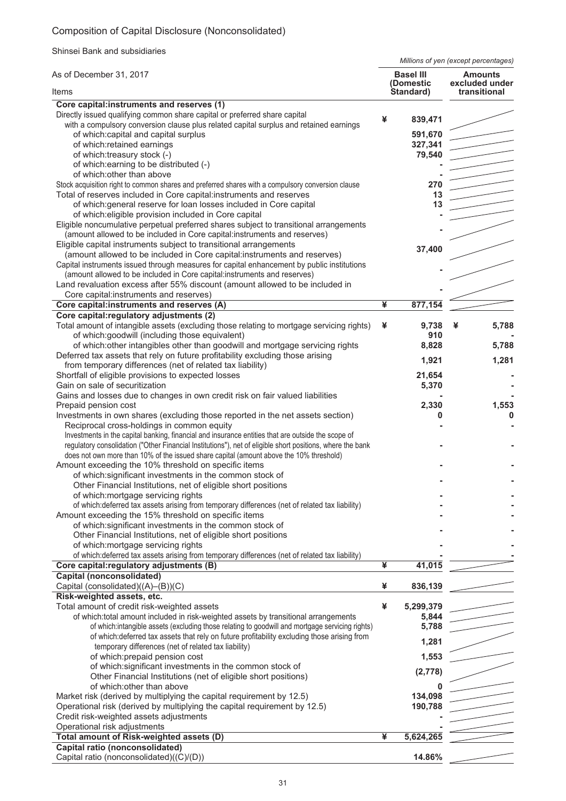# Composition of Capital Disclosure (Nonconsolidated)

Shinsei Bank and subsidiaries

*Millions of yen (except percentages)*

| As of December 31, 2017                                                                                                                                                                                          |   | <b>Basel III</b>       | <b>Amounts</b><br>excluded under |
|------------------------------------------------------------------------------------------------------------------------------------------------------------------------------------------------------------------|---|------------------------|----------------------------------|
| Items                                                                                                                                                                                                            |   | (Domestic<br>Standard) | transitional                     |
| Core capital:instruments and reserves (1)                                                                                                                                                                        |   |                        |                                  |
| Directly issued qualifying common share capital or preferred share capital<br>with a compulsory conversion clause plus related capital surplus and retained earnings                                             | ¥ | 839,471                |                                  |
| of which:capital and capital surplus                                                                                                                                                                             |   | 591,670                |                                  |
| of which:retained earnings                                                                                                                                                                                       |   | 327,341                |                                  |
| of which:treasury stock (-)                                                                                                                                                                                      |   | 79,540                 |                                  |
| of which: earning to be distributed (-)                                                                                                                                                                          |   |                        |                                  |
| of which: other than above                                                                                                                                                                                       |   |                        |                                  |
| Stock acquisition right to common shares and preferred shares with a compulsory conversion clause                                                                                                                |   | 270                    |                                  |
| Total of reserves included in Core capital:instruments and reserves                                                                                                                                              |   | 13                     |                                  |
| of which: general reserve for loan losses included in Core capital                                                                                                                                               |   | 13                     |                                  |
| of which: eligible provision included in Core capital<br>Eligible noncumulative perpetual preferred shares subject to transitional arrangements                                                                  |   |                        |                                  |
| (amount allowed to be included in Core capital:instruments and reserves)                                                                                                                                         |   |                        |                                  |
| Eligible capital instruments subject to transitional arrangements                                                                                                                                                |   |                        |                                  |
| (amount allowed to be included in Core capital:instruments and reserves)                                                                                                                                         |   | 37,400                 |                                  |
| Capital instruments issued through measures for capital enhancement by public institutions                                                                                                                       |   |                        |                                  |
| (amount allowed to be included in Core capital:instruments and reserves)                                                                                                                                         |   |                        |                                  |
| Land revaluation excess after 55% discount (amount allowed to be included in                                                                                                                                     |   |                        |                                  |
| Core capital:instruments and reserves)                                                                                                                                                                           |   |                        |                                  |
| Core capital:instruments and reserves (A)                                                                                                                                                                        | ¥ | 877,154                |                                  |
| Core capital: regulatory adjustments (2)                                                                                                                                                                         |   |                        |                                  |
| Total amount of intangible assets (excluding those relating to mortgage servicing rights)                                                                                                                        | ¥ | 9,738<br>910           | 5,788<br>¥                       |
| of which:goodwill (including those equivalent)<br>of which: other intangibles other than goodwill and mortgage servicing rights                                                                                  |   | 8,828                  | 5,788                            |
| Deferred tax assets that rely on future profitability excluding those arising                                                                                                                                    |   |                        |                                  |
| from temporary differences (net of related tax liability)                                                                                                                                                        |   | 1,921                  | 1,281                            |
| Shortfall of eligible provisions to expected losses                                                                                                                                                              |   | 21,654                 |                                  |
| Gain on sale of securitization                                                                                                                                                                                   |   | 5,370                  |                                  |
| Gains and losses due to changes in own credit risk on fair valued liabilities                                                                                                                                    |   |                        |                                  |
| Prepaid pension cost                                                                                                                                                                                             |   | 2,330                  | 1,553                            |
| Investments in own shares (excluding those reported in the net assets section)                                                                                                                                   |   | 0                      | 0                                |
| Reciprocal cross-holdings in common equity                                                                                                                                                                       |   |                        |                                  |
| Investments in the capital banking, financial and insurance entities that are outside the scope of<br>regulatory consolidation ("Other Financial Institutions"), net of eligible short positions, where the bank |   |                        |                                  |
| does not own more than 10% of the issued share capital (amount above the 10% threshold)                                                                                                                          |   |                        |                                  |
| Amount exceeding the 10% threshold on specific items                                                                                                                                                             |   |                        |                                  |
| of which: significant investments in the common stock of                                                                                                                                                         |   |                        |                                  |
| Other Financial Institutions, net of eligible short positions                                                                                                                                                    |   |                        |                                  |
| of which: mortgage servicing rights                                                                                                                                                                              |   |                        |                                  |
| of which: deferred tax assets arising from temporary differences (net of related tax liability)                                                                                                                  |   |                        |                                  |
| Amount exceeding the 15% threshold on specific items                                                                                                                                                             |   |                        |                                  |
| of which: significant investments in the common stock of                                                                                                                                                         |   |                        |                                  |
| Other Financial Institutions, net of eligible short positions                                                                                                                                                    |   |                        |                                  |
| of which: mortgage servicing rights                                                                                                                                                                              |   |                        |                                  |
| of which: deferred tax assets arising from temporary differences (net of related tax liability)<br>Core capital: regulatory adjustments (B)                                                                      | ¥ | 41,015                 |                                  |
| <b>Capital (nonconsolidated)</b>                                                                                                                                                                                 |   |                        |                                  |
| Capital (consolidated)((A)-(B))(C)                                                                                                                                                                               | ¥ | 836,139                |                                  |
| Risk-weighted assets, etc.                                                                                                                                                                                       |   |                        |                                  |
| Total amount of credit risk-weighted assets                                                                                                                                                                      | ¥ | 5,299,379              |                                  |
| of which:total amount included in risk-weighted assets by transitional arrangements                                                                                                                              |   | 5,844                  |                                  |
| of which:intangible assets (excluding those relating to goodwill and mortgage servicing rights)                                                                                                                  |   | 5,788                  |                                  |
| of which: deferred tax assets that rely on future profitability excluding those arising from                                                                                                                     |   | 1,281                  |                                  |
| temporary differences (net of related tax liability)                                                                                                                                                             |   |                        |                                  |
| of which: prepaid pension cost                                                                                                                                                                                   |   | 1,553                  |                                  |
| of which:significant investments in the common stock of                                                                                                                                                          |   | (2,778)                |                                  |
| Other Financial Institutions (net of eligible short positions)                                                                                                                                                   |   |                        |                                  |
| of which: other than above<br>Market risk (derived by multiplying the capital requirement by 12.5)                                                                                                               |   | 134,098                |                                  |
| Operational risk (derived by multiplying the capital requirement by 12.5)                                                                                                                                        |   | 190,788                |                                  |
| Credit risk-weighted assets adjustments                                                                                                                                                                          |   |                        |                                  |
| Operational risk adjustments                                                                                                                                                                                     |   |                        |                                  |
| Total amount of Risk-weighted assets (D)                                                                                                                                                                         | ¥ | 5,624,265              |                                  |
| Capital ratio (nonconsolidated)                                                                                                                                                                                  |   |                        |                                  |
| Capital ratio (nonconsolidated)((C)/(D))                                                                                                                                                                         |   | 14.86%                 |                                  |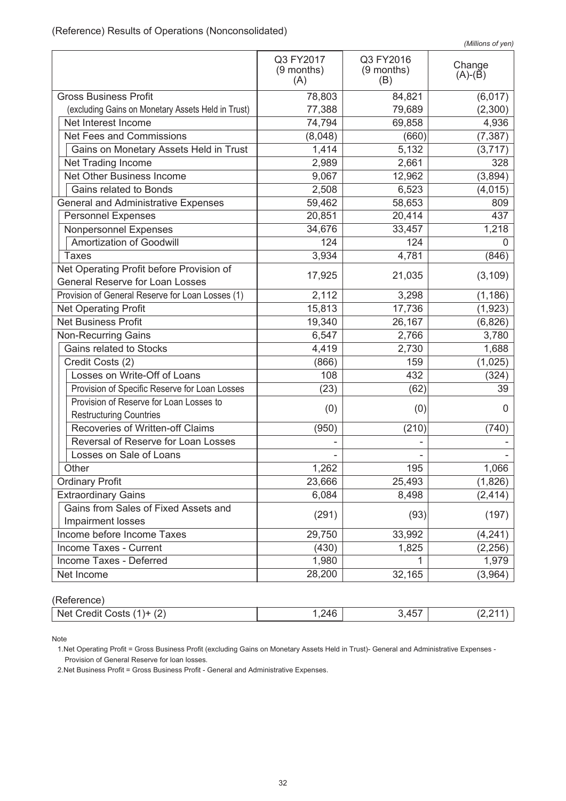| (Millions of yen) |  |
|-------------------|--|

|                                                                                    |                                |                                | (                   |
|------------------------------------------------------------------------------------|--------------------------------|--------------------------------|---------------------|
|                                                                                    | Q3 FY2017<br>(9 months)<br>(A) | Q3 FY2016<br>(9 months)<br>(B) | Change<br>$(A)-(B)$ |
| <b>Gross Business Profit</b>                                                       | 78,803                         | 84,821                         | (6,017)             |
| (excluding Gains on Monetary Assets Held in Trust)                                 | 77,388                         | 79,689                         | (2,300)             |
| Net Interest Income                                                                | 74,794                         | 69,858                         | 4,936               |
| Net Fees and Commissions                                                           | (8,048)                        | (660)                          | (7, 387)            |
| Gains on Monetary Assets Held in Trust                                             | 1,414                          | 5,132                          | (3,717)             |
| Net Trading Income                                                                 | 2,989                          | 2,661                          | 328                 |
| Net Other Business Income                                                          | 9,067                          | 12,962                         | (3,894)             |
| Gains related to Bonds                                                             | 2,508                          | 6,523                          | (4, 015)            |
| <b>General and Administrative Expenses</b>                                         | 59,462                         | 58,653                         | 809                 |
| <b>Personnel Expenses</b>                                                          | 20,851                         | 20,414                         | 437                 |
| Nonpersonnel Expenses                                                              | 34,676                         | 33,457                         | 1,218               |
| Amortization of Goodwill                                                           | 124                            | 124                            | 0                   |
| <b>Taxes</b>                                                                       | 3,934                          | 4,781                          | (846)               |
| Net Operating Profit before Provision of<br><b>General Reserve for Loan Losses</b> | 17,925                         | 21,035                         | (3, 109)            |
| Provision of General Reserve for Loan Losses (1)                                   | 2,112                          | 3,298                          | (1, 186)            |
| Net Operating Profit                                                               | 15,813                         | 17,736                         | (1, 923)            |
| <b>Net Business Profit</b>                                                         | 19,340                         | 26,167                         | (6, 826)            |
| Non-Recurring Gains                                                                | 6,547                          | 2,766                          | 3,780               |
| Gains related to Stocks                                                            | 4,419                          | 2,730                          | 1,688               |
| Credit Costs (2)                                                                   | (866)                          | 159                            | (1,025)             |
| Losses on Write-Off of Loans                                                       | 108                            | 432                            | (324)               |
| Provision of Specific Reserve for Loan Losses                                      | (23)                           | (62)                           | 39                  |
| Provision of Reserve for Loan Losses to                                            |                                |                                |                     |
| <b>Restructuring Countries</b>                                                     | (0)                            | (0)                            | 0                   |
| Recoveries of Written-off Claims                                                   | (950)                          | (210)                          | (740)               |
| Reversal of Reserve for Loan Losses                                                |                                |                                |                     |
| Losses on Sale of Loans                                                            |                                |                                |                     |
| Other                                                                              | 1,262                          | 195                            | 1,066               |
| <b>Ordinary Profit</b>                                                             | 23,666                         | 25,493                         | (1,826)             |
| <b>Extraordinary Gains</b>                                                         | 6,084                          | 8,498                          | (2, 414)            |
| Gains from Sales of Fixed Assets and<br>Impairment losses                          | (291)                          | (93)                           | (197)               |
| Income before Income Taxes                                                         | 29,750                         | 33,992                         | (4, 241)            |
| Income Taxes - Current                                                             | (430)                          | 1,825                          | (2, 256)            |
| <b>Income Taxes - Deferred</b>                                                     | 1,980                          |                                | 1,979               |
| Net Income                                                                         | 28,200                         | 32,165                         | (3,964)             |

(Reference)

| $\sqrt{2}$<br>Net<br>ຳ +⊢<br>tiner.<br>∴osts<br>∖∠. | $\sim$<br>$2\Delta F$<br>— ⊤ — با | --<br>$\cdot$ . |  |
|-----------------------------------------------------|-----------------------------------|-----------------|--|
|                                                     |                                   |                 |  |

Note

1.Net Operating Profit = Gross Business Profit (excluding Gains on Monetary Assets Held in Trust)- General and Administrative Expenses - Provision of General Reserve for loan losses.

2.Net Business Profit = Gross Business Profit - General and Administrative Expenses.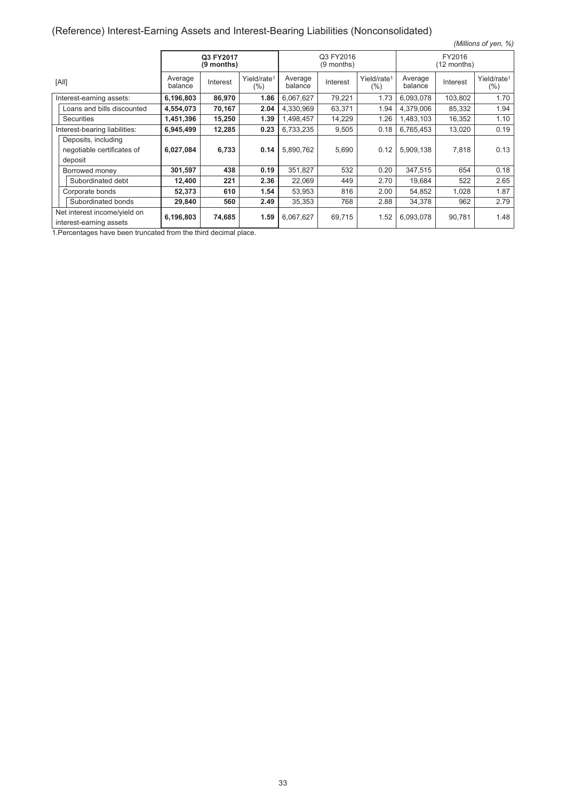# (Reference) Interest-Earning Assets and Interest-Bearing Liabilities (Nonconsolidated)

| (Millions of yen, %)                                    |                    |                         |                                |                    |                         |                                    |                    |                       |                                |
|---------------------------------------------------------|--------------------|-------------------------|--------------------------------|--------------------|-------------------------|------------------------------------|--------------------|-----------------------|--------------------------------|
|                                                         |                    | Q3 FY2017<br>(9 months) |                                |                    | Q3 FY2016<br>(9 months) |                                    |                    | FY2016<br>(12 months) |                                |
| [All]                                                   | Average<br>balance | Interest                | Yield/rate <sup>1</sup><br>(%) | Average<br>balance | Interest                | Yield/rate <sup>1</sup><br>$(\% )$ | Average<br>balance | Interest              | Yield/rate <sup>1</sup><br>(%) |
| Interest-earning assets:                                | 6,196,803          | 86,970                  | 1.86                           | 6,067,627          | 79,221                  | 1.73                               | 6,093,078          | 103,802               | 1.70                           |
| Loans and bills discounted                              | 4,554,073          | 70,167                  | 2.04                           | 4,330,969          | 63,371                  | 1.94                               | 4,379,006          | 85,332                | 1.94                           |
| <b>Securities</b>                                       | 1,451,396          | 15,250                  | 1.39                           | 1,498,457          | 14,229                  | 1.26                               | 1,483,103          | 16,352                | 1.10                           |
| Interest-bearing liabilities:                           | 6,945,499          | 12,285                  | 0.23                           | 6,733,235          | 9,505                   | 0.18                               | 6,765,453          | 13,020                | 0.19                           |
| Deposits, including                                     |                    |                         |                                |                    |                         |                                    |                    |                       |                                |
| negotiable certificates of                              | 6,027,084          | 6,733                   | 0.14                           | 5,890,762          | 5,690                   | 0.12                               | 5,909,138          | 7,818                 | 0.13                           |
| deposit                                                 |                    |                         |                                |                    |                         |                                    |                    |                       |                                |
| Borrowed money                                          | 301,597            | 438                     | 0.19                           | 351,827            | 532                     | 0.20                               | 347,515            | 654                   | 0.18                           |
| Subordinated debt                                       | 12,400             | 221                     | 2.36                           | 22,069             | 449                     | 2.70                               | 19,684             | 522                   | 2.65                           |
| Corporate bonds                                         | 52,373             | 610                     | 1.54                           | 53,953             | 816                     | 2.00                               | 54,852             | 1,028                 | 1.87                           |
| Subordinated bonds                                      | 29,840             | 560                     | 2.49                           | 35,353             | 768                     | 2.88                               | 34,378             | 962                   | 2.79                           |
| Net interest income/yield on<br>interest-earning assets | 6,196,803          | 74,685                  | 1.59                           | 6,067,627          | 69,715                  | 1.52                               | 6,093,078          | 90,781                | 1.48                           |

1.Percentages have been truncated from the third decimal place.